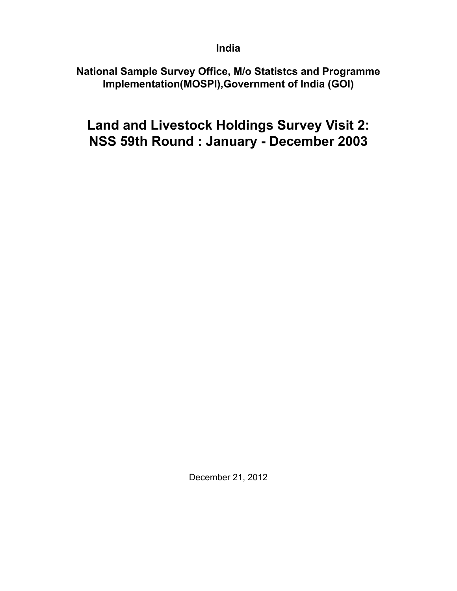## **India**

## **National Sample Survey Office, M/o Statistcs and Programme Implementation(MOSPI),Government of India (GOI)**

# **Land and Livestock Holdings Survey Visit 2: NSS 59th Round : January - December 2003**

December 21, 2012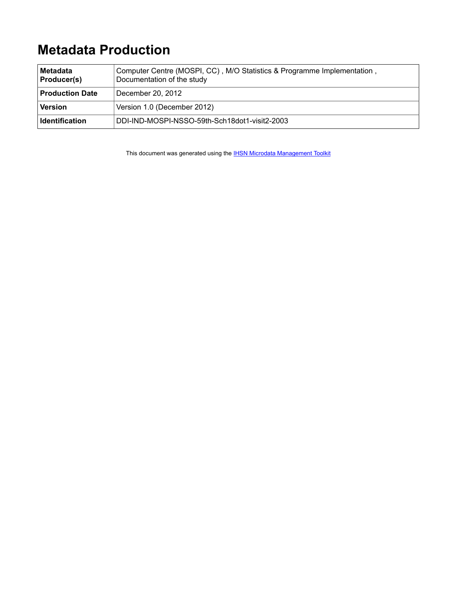# **Metadata Production**

| <b>Metadata</b><br>Producer(s) | Computer Centre (MOSPI, CC), M/O Statistics & Programme Implementation,<br>Documentation of the study |
|--------------------------------|-------------------------------------------------------------------------------------------------------|
| <b>Production Date</b>         | December 20, 2012                                                                                     |
| <b>Version</b>                 | Version 1.0 (December 2012)                                                                           |
| <b>Identification</b>          | DDI-IND-MOSPI-NSSO-59th-Sch18dot1-visit2-2003                                                         |

This document was generated using the **[IHSN Microdata Management Toolkit](http://www.surveynetwork.org/toolkit)**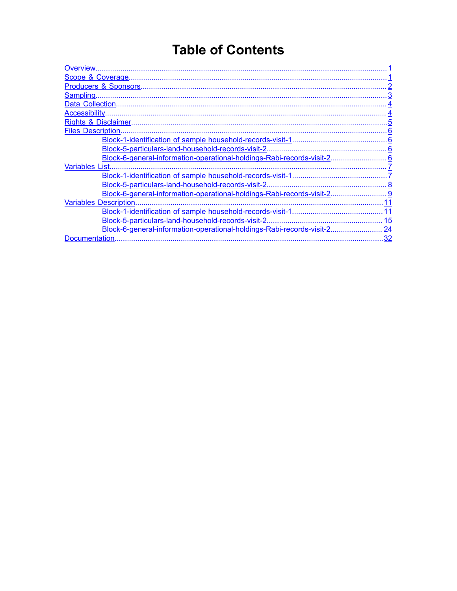# **Table of Contents**

| <b>Overview</b>                                                        |    |
|------------------------------------------------------------------------|----|
| Scope & Coverage.                                                      |    |
| Producers & Sponsors                                                   |    |
| Sampling                                                               |    |
|                                                                        |    |
| Accessibility                                                          |    |
|                                                                        |    |
| <b>Files Description.</b>                                              |    |
|                                                                        |    |
| Block-5-particulars-land-household-records-visit-2.                    |    |
| Block-6-general-information-operational-holdings-Rabi-records-visit-2  | 6  |
| <b>Variables List.</b>                                                 |    |
|                                                                        |    |
| Block-5-particulars-land-household-records-visit-2.                    |    |
| Block-6-general-information-operational-holdings-Rabi-records-visit-2. |    |
| <b>Variables Description</b>                                           |    |
| Block-1-identification of sample household-records-visit-1             | 11 |
| Block-5-particulars-land-household-records-visit-2.                    | 15 |
| Block-6-general-information-operational-holdings-Rabi-records-visit-2. | 24 |
| Documentation                                                          | 32 |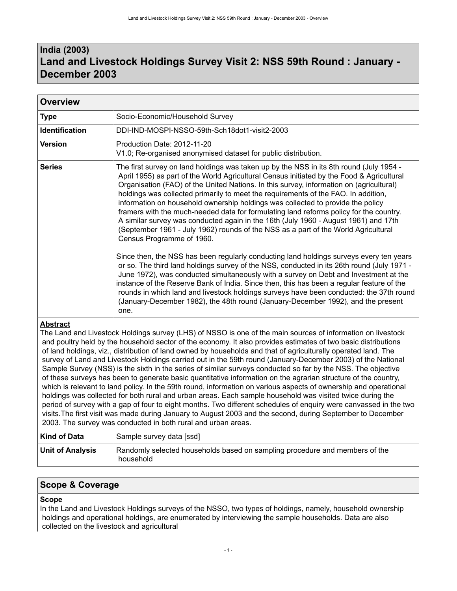## <span id="page-4-0"></span>**India (2003) Land and Livestock Holdings Survey Visit 2: NSS 59th Round : January - December 2003**

| <b>Overview</b>       |                                                                                                                                                                                                                                                                                                                                                                                                                                                                                                                                                                                                                                                                                                                                                                                                                                                                                                                                                                                                                                                                                                                                                                                                                                                                                                                                   |
|-----------------------|-----------------------------------------------------------------------------------------------------------------------------------------------------------------------------------------------------------------------------------------------------------------------------------------------------------------------------------------------------------------------------------------------------------------------------------------------------------------------------------------------------------------------------------------------------------------------------------------------------------------------------------------------------------------------------------------------------------------------------------------------------------------------------------------------------------------------------------------------------------------------------------------------------------------------------------------------------------------------------------------------------------------------------------------------------------------------------------------------------------------------------------------------------------------------------------------------------------------------------------------------------------------------------------------------------------------------------------|
| <b>Type</b>           | Socio-Economic/Household Survey                                                                                                                                                                                                                                                                                                                                                                                                                                                                                                                                                                                                                                                                                                                                                                                                                                                                                                                                                                                                                                                                                                                                                                                                                                                                                                   |
| <b>Identification</b> | DDI-IND-MOSPI-NSSO-59th-Sch18dot1-visit2-2003                                                                                                                                                                                                                                                                                                                                                                                                                                                                                                                                                                                                                                                                                                                                                                                                                                                                                                                                                                                                                                                                                                                                                                                                                                                                                     |
| <b>Version</b>        | Production Date: 2012-11-20<br>V1.0; Re-organised anonymised dataset for public distribution.                                                                                                                                                                                                                                                                                                                                                                                                                                                                                                                                                                                                                                                                                                                                                                                                                                                                                                                                                                                                                                                                                                                                                                                                                                     |
| <b>Series</b>         | The first survey on land holdings was taken up by the NSS in its 8th round (July 1954 -<br>April 1955) as part of the World Agricultural Census initiated by the Food & Agricultural<br>Organisation (FAO) of the United Nations. In this survey, information on (agricultural)<br>holdings was collected primarily to meet the requirements of the FAO. In addition,<br>information on household ownership holdings was collected to provide the policy<br>framers with the much-needed data for formulating land reforms policy for the country.<br>A similar survey was conducted again in the 16th (July 1960 - August 1961) and 17th<br>(September 1961 - July 1962) rounds of the NSS as a part of the World Agricultural<br>Census Programme of 1960.<br>Since then, the NSS has been regularly conducting land holdings surveys every ten years<br>or so. The third land holdings survey of the NSS, conducted in its 26th round (July 1971 -<br>June 1972), was conducted simultaneously with a survey on Debt and Investment at the<br>instance of the Reserve Bank of India. Since then, this has been a regular feature of the<br>rounds in which land and livestock holdings surveys have been conducted: the 37th round<br>(January-December 1982), the 48th round (January-December 1992), and the present<br>one. |

## **Abstract**

The Land and Livestock Holdings survey (LHS) of NSSO is one of the main sources of information on livestock and poultry held by the household sector of the economy. It also provides estimates of two basic distributions of land holdings, viz., distribution of land owned by households and that of agriculturally operated land. The survey of Land and Livestock Holdings carried out in the 59th round (January-December 2003) of the National Sample Survey (NSS) is the sixth in the series of similar surveys conducted so far by the NSS. The objective of these surveys has been to generate basic quantitative information on the agrarian structure of the country, which is relevant to land policy. In the 59th round, information on various aspects of ownership and operational holdings was collected for both rural and urban areas. Each sample household was visited twice during the period of survey with a gap of four to eight months. Two different schedules of enquiry were canvassed in the two visits.The first visit was made during January to August 2003 and the second, during September to December 2003. The survey was conducted in both rural and urban areas.

| Kind of Data            | Sample survey data [ssd]                                                                 |
|-------------------------|------------------------------------------------------------------------------------------|
| <b>Unit of Analysis</b> | Randomly selected households based on sampling procedure and members of the<br>household |

## <span id="page-4-1"></span>**Scope & Coverage**

### **Scope**

In the Land and Livestock Holdings surveys of the NSSO, two types of holdings, namely, household ownership holdings and operational holdings, are enumerated by interviewing the sample households. Data are also collected on the livestock and agricultural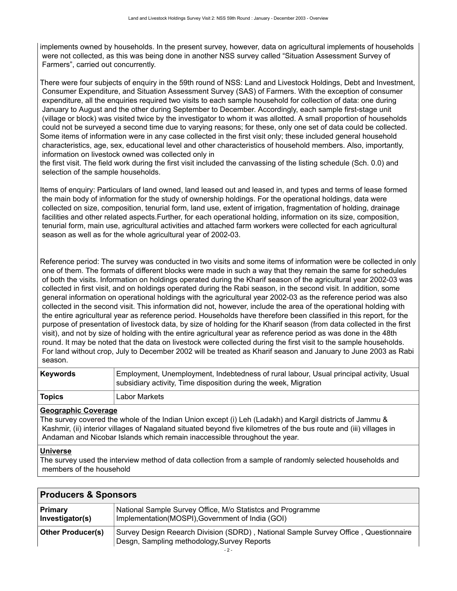implements owned by households. In the present survey, however, data on agricultural implements of households were not collected, as this was being done in another NSS survey called "Situation Assessment Survey of Farmers", carried out concurrently.

There were four subjects of enquiry in the 59th round of NSS: Land and Livestock Holdings, Debt and Investment, Consumer Expenditure, and Situation Assessment Survey (SAS) of Farmers. With the exception of consumer expenditure, all the enquiries required two visits to each sample household for collection of data: one during January to August and the other during September to December. Accordingly, each sample first-stage unit (village or block) was visited twice by the investigator to whom it was allotted. A small proportion of households could not be surveyed a second time due to varying reasons; for these, only one set of data could be collected. Some items of information were in any case collected in the first visit only; these included general household characteristics, age, sex, educational level and other characteristics of household members. Also, importantly, information on livestock owned was collected only in

the first visit. The field work during the first visit included the canvassing of the listing schedule (Sch. 0.0) and selection of the sample households.

Items of enquiry: Particulars of land owned, land leased out and leased in, and types and terms of lease formed the main body of information for the study of ownership holdings. For the operational holdings, data were collected on size, composition, tenurial form, land use, extent of irrigation, fragmentation of holding, drainage facilities and other related aspects.Further, for each operational holding, information on its size, composition, tenurial form, main use, agricultural activities and attached farm workers were collected for each agricultural season as well as for the whole agricultural year of 2002-03.

Reference period: The survey was conducted in two visits and some items of information were be collected in only one of them. The formats of different blocks were made in such a way that they remain the same for schedules of both the visits. Information on holdings operated during the Kharif season of the agricultural year 2002-03 was collected in first visit, and on holdings operated during the Rabi season, in the second visit. In addition, some general information on operational holdings with the agricultural year 2002-03 as the reference period was also collected in the second visit. This information did not, however, include the area of the operational holding with the entire agricultural year as reference period. Households have therefore been classified in this report, for the purpose of presentation of livestock data, by size of holding for the Kharif season (from data collected in the first visit), and not by size of holding with the entire agricultural year as reference period as was done in the 48th round. It may be noted that the data on livestock were collected during the first visit to the sample households. For land without crop, July to December 2002 will be treated as Kharif season and January to June 2003 as Rabi season.

| <b>Keywords</b> | Employment, Unemployment, Indebtedness of rural labour, Usual principal activity, Usual<br>subsidiary activity, Time disposition during the week, Migration |
|-----------------|-------------------------------------------------------------------------------------------------------------------------------------------------------------|
| <b>Topics</b>   | Labor Markets                                                                                                                                               |

### **Geographic Coverage**

The survey covered the whole of the Indian Union except (i) Leh (Ladakh) and Kargil districts of Jammu & Kashmir, (ii) interior villages of Nagaland situated beyond five kilometres of the bus route and (iii) villages in Andaman and Nicobar Islands which remain inaccessible throughout the year.

#### **Universe**

The survey used the interview method of data collection from a sample of randomly selected households and members of the household

<span id="page-5-0"></span>

| <b>Producers &amp; Sponsors</b> |                                                                                                                                    |
|---------------------------------|------------------------------------------------------------------------------------------------------------------------------------|
| Primary<br>Investigator(s)      | National Sample Survey Office, M/o Statistcs and Programme<br>Implementation(MOSPI), Government of India (GOI)                     |
| <b>Other Producer(s)</b>        | Survey Design Reearch Division (SDRD), National Sample Survey Office, Questionnaire<br>Desgn, Sampling methodology, Survey Reports |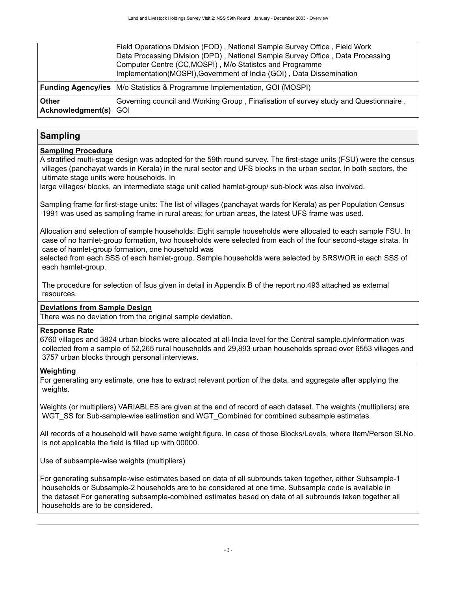|                                | Field Operations Division (FOD), National Sample Survey Office, Field Work<br>Data Processing Division (DPD), National Sample Survey Office, Data Processing<br>Computer Centre (CC, MOSPI), M/o Statistcs and Programme<br>Implementation(MOSPI), Government of India (GOI), Data Dissemination |
|--------------------------------|--------------------------------------------------------------------------------------------------------------------------------------------------------------------------------------------------------------------------------------------------------------------------------------------------|
|                                | <b>Funding Agency/ies</b>   M/o Statistics & Programme Implementation, GOI (MOSPI)                                                                                                                                                                                                               |
| Other<br>Acknowledgment(s) GOI | Governing council and Working Group, Finalisation of survey study and Questionnaire,                                                                                                                                                                                                             |

### <span id="page-6-0"></span>**Sampling**

### **Sampling Procedure**

A stratified multi-stage design was adopted for the 59th round survey. The first-stage units (FSU) were the census villages (panchayat wards in Kerala) in the rural sector and UFS blocks in the urban sector. In both sectors, the ultimate stage units were households. In

large villages/ blocks, an intermediate stage unit called hamlet-group/ sub-block was also involved.

Sampling frame for first-stage units: The list of villages (panchayat wards for Kerala) as per Population Census 1991 was used as sampling frame in rural areas; for urban areas, the latest UFS frame was used.

Allocation and selection of sample households: Eight sample households were allocated to each sample FSU. In case of no hamlet-group formation, two households were selected from each of the four second-stage strata. In case of hamlet-group formation, one household was

selected from each SSS of each hamlet-group. Sample households were selected by SRSWOR in each SSS of each hamlet-group.

 The procedure for selection of fsus given in detail in Appendix B of the report no.493 attached as external resources.

### **Deviations from Sample Design**

There was no deviation from the original sample deviation.

#### **Response Rate**

6760 villages and 3824 urban blocks were allocated at all-India level for the Central sample.cjvInformation was collected from a sample of 52,265 rural households and 29,893 urban households spread over 6553 villages and 3757 urban blocks through personal interviews.

#### **Weighting**

For generating any estimate, one has to extract relevant portion of the data, and aggregate after applying the weights.

Weights (or multipliers) VARIABLES are given at the end of record of each dataset. The weights (multipliers) are WGT\_SS for Sub-sample-wise estimation and WGT\_Combined for combined subsample estimates.

All records of a household will have same weight figure. In case of those Blocks/Levels, where Item/Person Sl.No. is not applicable the field is filled up with 00000.

Use of subsample-wise weights (multipliers)

For generating subsample-wise estimates based on data of all subrounds taken together, either Subsample-1 households or Subsample-2 households are to be considered at one time. Subsample code is available in the dataset For generating subsample-combined estimates based on data of all subrounds taken together all households are to be considered.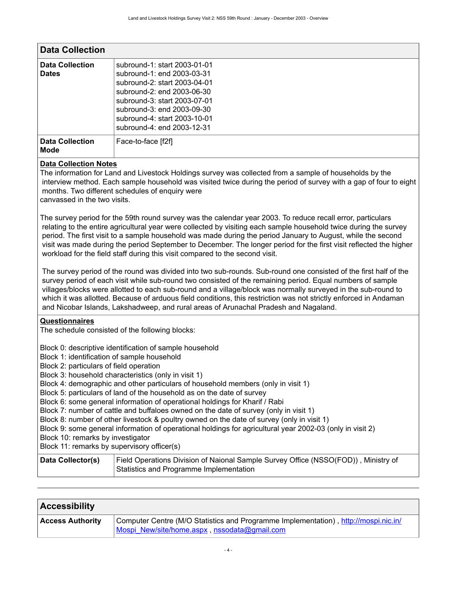<span id="page-7-0"></span>

| <b>Data Collection</b>                 |                                                                                                                                                                                                                                                      |
|----------------------------------------|------------------------------------------------------------------------------------------------------------------------------------------------------------------------------------------------------------------------------------------------------|
| <b>Data Collection</b><br><b>Dates</b> | subround-1: start 2003-01-01<br>subround-1: end 2003-03-31<br>subround-2: start 2003-04-01<br>subround-2: end 2003-06-30<br>subround-3: start 2003-07-01<br>subround-3: end 2003-09-30<br>subround-4: start 2003-10-01<br>subround-4: end 2003-12-31 |
| <b>Data Collection</b><br><b>Mode</b>  | Face-to-face [f2f]                                                                                                                                                                                                                                   |

### **Data Collection Notes**

The information for Land and Livestock Holdings survey was collected from a sample of households by the interview method. Each sample household was visited twice during the period of survey with a gap of four to eight months. Two different schedules of enquiry were

canvassed in the two visits.

The survey period for the 59th round survey was the calendar year 2003. To reduce recall error, particulars relating to the entire agricultural year were collected by visiting each sample household twice during the survey period. The first visit to a sample household was made during the period January to August, while the second visit was made during the period September to December. The longer period for the first visit reflected the higher workload for the field staff during this visit compared to the second visit.

 The survey period of the round was divided into two sub-rounds. Sub-round one consisted of the first half of the survey period of each visit while sub-round two consisted of the remaining period. Equal numbers of sample villages/blocks were allotted to each sub-round and a village/block was normally surveyed in the sub-round to which it was allotted. Because of arduous field conditions, this restriction was not strictly enforced in Andaman and Nicobar Islands, Lakshadweep, and rural areas of Arunachal Pradesh and Nagaland.

#### **Questionnaires**

The schedule consisted of the following blocks:

Block 0: descriptive identification of sample household

- Block 1: identification of sample household
- Block 2: particulars of field operation
- Block 3: household characteristics (only in visit 1)
- Block 4: demographic and other particulars of household members (only in visit 1)
- Block 5: particulars of land of the household as on the date of survey

Block 6: some general information of operational holdings for Kharif / Rabi

Block 7: number of cattle and buffaloes owned on the date of survey (only in visit 1)

Block 8: number of other livestock & poultry owned on the date of survey (only in visit 1)

Block 9: some general information of operational holdings for agricultural year 2002-03 (only in visit 2)

Block 10: remarks by investigator

Block 11: remarks by supervisory officer(s)

| Data Collector(s) | Field Operations Division of Naional Sample Survey Office (NSSO(FOD)), Ministry of |
|-------------------|------------------------------------------------------------------------------------|
|                   | Statistics and Programme Implementation                                            |

<span id="page-7-1"></span>

| <b>Accessibility</b>    |                                                                                                                                     |
|-------------------------|-------------------------------------------------------------------------------------------------------------------------------------|
| <b>Access Authority</b> | Computer Centre (M/O Statistics and Programme Implementation), http://mospi.nic.in/<br>Mospi New/site/home.aspx, nssodata@gmail.com |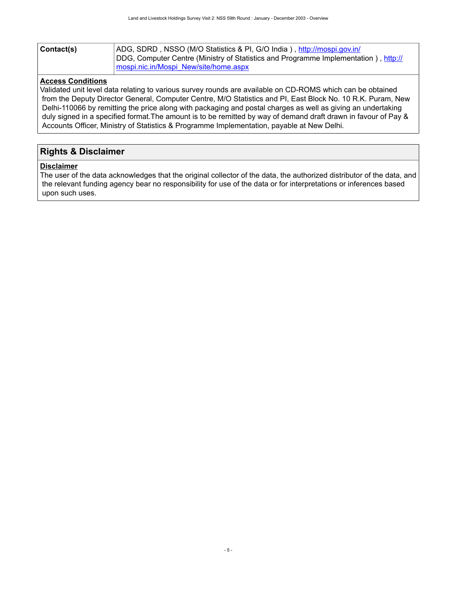| Contact(s) | ADG, SDRD, NSSO (M/O Statistics & PI, G/O India), http://mospi.gov.in/              |
|------------|-------------------------------------------------------------------------------------|
|            | DDG, Computer Centre (Ministry of Statistics and Programme Implementation), http:// |
|            | mospi.nic.in/Mospi_New/site/home.aspx                                               |

### **Access Conditions**

Validated unit level data relating to various survey rounds are available on CD-ROMS which can be obtained from the Deputy Director General, Computer Centre, M/O Statistics and PI, East Block No. 10 R.K. Puram, New Delhi-110066 by remitting the price along with packaging and postal charges as well as giving an undertaking duly signed in a specified format.The amount is to be remitted by way of demand draft drawn in favour of Pay & Accounts Officer, Ministry of Statistics & Programme Implementation, payable at New Delhi.

## <span id="page-8-0"></span>**Rights & Disclaimer**

#### **Disclaimer**

The user of the data acknowledges that the original collector of the data, the authorized distributor of the data, and the relevant funding agency bear no responsibility for use of the data or for interpretations or inferences based upon such uses.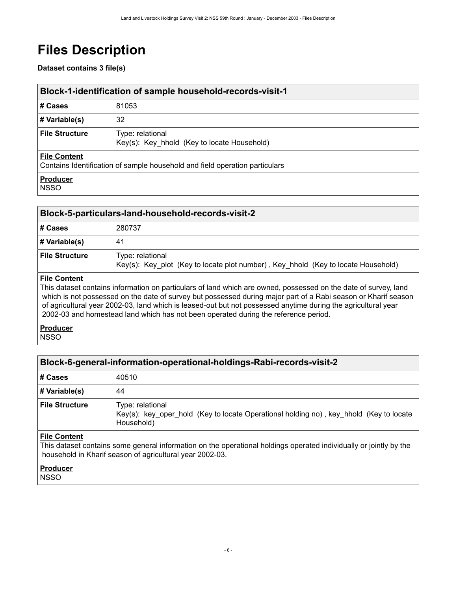# <span id="page-9-0"></span>**Files Description**

### **Dataset contains 3 file(s)**

<span id="page-9-1"></span>

| <b>Block-1-identification of sample household-records-visit-1</b>                                  |                                                                 |
|----------------------------------------------------------------------------------------------------|-----------------------------------------------------------------|
| # Cases                                                                                            | 81053                                                           |
| # Variable(s)                                                                                      | 32                                                              |
| <b>File Structure</b>                                                                              | Type: relational<br>Key(s): Key hhold (Key to locate Household) |
| <b>File Content</b><br>Contains Identification of sample household and field operation particulars |                                                                 |
| <b>Producer</b>                                                                                    |                                                                 |

**NSSO** 

<span id="page-9-2"></span>

|                       | Block-5-particulars-land-household-records-visit-2                                                    |  |  |  |  |
|-----------------------|-------------------------------------------------------------------------------------------------------|--|--|--|--|
| # Cases               | 280737                                                                                                |  |  |  |  |
| $\#$ Variable(s)      | 41                                                                                                    |  |  |  |  |
| <b>File Structure</b> | Type: relational<br>Key(s): Key_plot (Key to locate plot number), Key_hhold (Key to locate Household) |  |  |  |  |
|                       |                                                                                                       |  |  |  |  |

#### **File Content**

This dataset contains information on particulars of land which are owned, possessed on the date of survey, land which is not possessed on the date of survey but possessed during major part of a Rabi season or Kharif season of agricultural year 2002-03, land which is leased-out but not possessed anytime during the agricultural year 2002-03 and homestead land which has not been operated during the reference period.

**Producer NSSO** 

## <span id="page-9-3"></span>**Block-6-general-information-operational-holdings-Rabi-records-visit-2**

| # Cases               | 40510                                                                                                                    |
|-----------------------|--------------------------------------------------------------------------------------------------------------------------|
| # Variable(s)         | 44                                                                                                                       |
| <b>File Structure</b> | Type: relational<br>Key(s): key_oper_hold (Key to locate Operational holding no), key_hhold (Key to locate<br>Household) |

#### **File Content**

This dataset contains some general information on the operational holdings operated individually or jointly by the household in Kharif season of agricultural year 2002-03.

### **Producer**

**NSSO**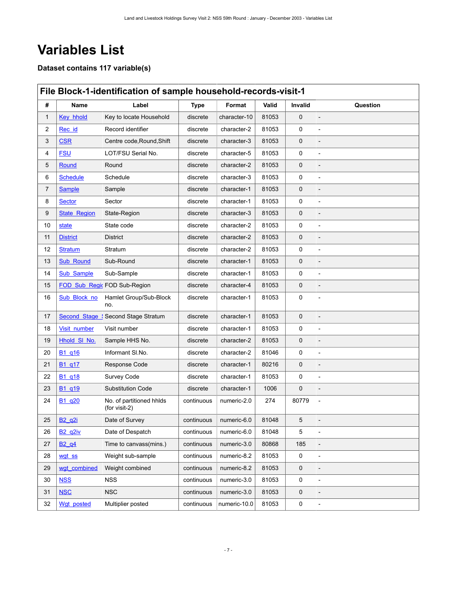# <span id="page-10-0"></span>**Variables List**

**Dataset contains 117 variable(s)**

<span id="page-10-1"></span>

|                | File Block-1-identification of sample household-records-visit-1 |                                           |             |                          |       |         |                          |  |  |
|----------------|-----------------------------------------------------------------|-------------------------------------------|-------------|--------------------------|-------|---------|--------------------------|--|--|
| #              | Name                                                            | Label                                     | <b>Type</b> | Format                   | Valid | Invalid | Question                 |  |  |
| 1              | Key hhold                                                       | Key to locate Household                   | discrete    | character-10             | 81053 | 0       |                          |  |  |
| $\overline{2}$ | Rec id                                                          | Record identifier                         | discrete    | character-2              | 81053 | 0       |                          |  |  |
| 3              | <b>CSR</b>                                                      | Centre code, Round, Shift                 | discrete    | character-3              | 81053 | 0       |                          |  |  |
| 4              | <b>FSU</b>                                                      | LOT/FSU Serial No.                        | discrete    | character-5              | 81053 | 0       |                          |  |  |
| 5              | Round                                                           | Round                                     | discrete    | character-2              | 81053 | 0       |                          |  |  |
| 6              | <b>Schedule</b>                                                 | Schedule                                  | discrete    | character-3              | 81053 | 0       | $\overline{a}$           |  |  |
| $\overline{7}$ | Sample                                                          | Sample                                    | discrete    | character-1              | 81053 | 0       |                          |  |  |
| 8              | <b>Sector</b>                                                   | Sector                                    | discrete    | character-1              | 81053 | 0       |                          |  |  |
| 9              | <b>State Region</b>                                             | State-Region                              | discrete    | character-3              | 81053 | 0       |                          |  |  |
| 10             | state                                                           | State code                                | discrete    | character-2              | 81053 | 0       |                          |  |  |
| 11             | <b>District</b>                                                 | <b>District</b>                           | discrete    | character-2              | 81053 | 0       |                          |  |  |
| 12             | <b>Stratum</b>                                                  | Stratum                                   | discrete    | character-2              | 81053 | 0       |                          |  |  |
| 13             | <b>Sub_Round</b>                                                | Sub-Round                                 | discrete    | character-1              | 81053 | 0       |                          |  |  |
| 14             | Sub_Sample                                                      | Sub-Sample                                | discrete    | character-1              | 81053 | 0       |                          |  |  |
| 15             |                                                                 | FOD Sub Regio FOD Sub-Region              | discrete    | character-4              | 81053 | 0       |                          |  |  |
| 16             | Sub_Block_no                                                    | Hamlet Group/Sub-Block<br>no.             | discrete    | character-1              | 81053 | 0       |                          |  |  |
| 17             | <b>Second Stage</b>                                             | Second Stage Stratum                      | discrete    | character-1              | 81053 | 0       |                          |  |  |
| 18             | Visit number                                                    | Visit number                              | discrete    | character-1              | 81053 | 0       | $\overline{a}$           |  |  |
| 19             | Hhold SI No.                                                    | Sample HHS No.                            | discrete    | character-2              | 81053 | 0       |                          |  |  |
| 20             | B <sub>1</sub> q <sub>16</sub>                                  | Informant SI.No.                          | discrete    | character-2              | 81046 | 0       |                          |  |  |
| 21             | B <sub>1</sub> q <sub>17</sub>                                  | Response Code                             | discrete    | character-1              | 80216 | 0       |                          |  |  |
| 22             | B <sub>1</sub> q <sub>18</sub>                                  | Survey Code                               | discrete    | character-1              | 81053 | 0       |                          |  |  |
| 23             | B <sub>1</sub> q <sub>19</sub>                                  | <b>Substitution Code</b>                  | discrete    | character-1              | 1006  | 0       |                          |  |  |
| 24             | B <sub>1</sub> q <sub>20</sub>                                  | No. of partitioned hhlds<br>(for visit-2) | continuous  | numeric-2.0              | 274   | 80779   |                          |  |  |
| 25             | <b>B2_q2i</b>                                                   | Date of Survey                            |             | continuous   numeric-6.0 | 81048 | 5       |                          |  |  |
| 26             | $B2$ q2iv                                                       | Date of Despatch                          | continuous  | numeric-6.0              | 81048 | 5       |                          |  |  |
| 27             | B <sub>2</sub> q <sub>4</sub>                                   | Time to canvass(mins.)                    | continuous  | numeric-3.0              | 80868 | 185     |                          |  |  |
| 28             | wgt ss                                                          | Weight sub-sample                         | continuous  | numeric-8.2              | 81053 | 0       |                          |  |  |
| 29             | wgt combined                                                    | Weight combined                           | continuous  | numeric-8.2              | 81053 | 0       |                          |  |  |
| 30             | <b>NSS</b>                                                      | <b>NSS</b>                                | continuous  | numeric-3.0              | 81053 | 0       |                          |  |  |
| 31             | <b>NSC</b>                                                      | <b>NSC</b>                                | continuous  | numeric-3.0              | 81053 | 0       |                          |  |  |
| 32             | Wgt posted                                                      | Multiplier posted                         | continuous  | numeric-10.0             | 81053 | 0       | $\overline{\phantom{0}}$ |  |  |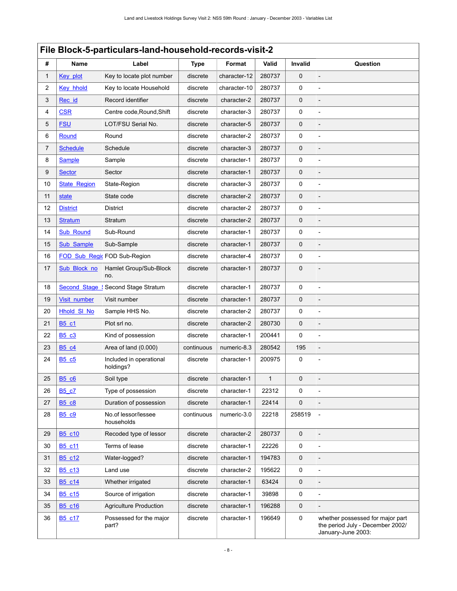<span id="page-11-0"></span>

|    | File Block-5-particulars-land-household-records-visit-2 |                                      |             |              |        |                |                                                                                            |  |  |
|----|---------------------------------------------------------|--------------------------------------|-------------|--------------|--------|----------------|--------------------------------------------------------------------------------------------|--|--|
| #  | <b>Name</b>                                             | Label                                | <b>Type</b> | Format       | Valid  | <b>Invalid</b> | Question                                                                                   |  |  |
| 1  | Key plot                                                | Key to locate plot number            | discrete    | character-12 | 280737 | $\mathbf{0}$   |                                                                                            |  |  |
| 2  | Key hhold                                               | Key to locate Household              | discrete    | character-10 | 280737 | 0              |                                                                                            |  |  |
| 3  | Rec id                                                  | Record identifier                    | discrete    | character-2  | 280737 | 0              |                                                                                            |  |  |
| 4  | <b>CSR</b>                                              | Centre code, Round, Shift            | discrete    | character-3  | 280737 | 0              |                                                                                            |  |  |
| 5  | <b>FSU</b>                                              | LOT/FSU Serial No.                   | discrete    | character-5  | 280737 | 0              |                                                                                            |  |  |
| 6  | Round                                                   | Round                                | discrete    | character-2  | 280737 | 0              |                                                                                            |  |  |
| 7  | <b>Schedule</b>                                         | Schedule                             | discrete    | character-3  | 280737 | $\mathbf 0$    |                                                                                            |  |  |
| 8  | <b>Sample</b>                                           | Sample                               | discrete    | character-1  | 280737 | 0              | $\overline{a}$                                                                             |  |  |
| 9  | <b>Sector</b>                                           | Sector                               | discrete    | character-1  | 280737 | 0              |                                                                                            |  |  |
| 10 | <b>State Region</b>                                     | State-Region                         | discrete    | character-3  | 280737 | 0              |                                                                                            |  |  |
| 11 | state                                                   | State code                           | discrete    | character-2  | 280737 | $\mathbf 0$    |                                                                                            |  |  |
| 12 | <b>District</b>                                         | District                             | discrete    | character-2  | 280737 | 0              |                                                                                            |  |  |
| 13 | <b>Stratum</b>                                          | Stratum                              | discrete    | character-2  | 280737 | $\mathsf 0$    |                                                                                            |  |  |
| 14 | <b>Sub Round</b>                                        | Sub-Round                            | discrete    | character-1  | 280737 | 0              | $\overline{a}$                                                                             |  |  |
| 15 | Sub Sample                                              | Sub-Sample                           | discrete    | character-1  | 280737 | 0              |                                                                                            |  |  |
| 16 | <b>FOD Sub Regio</b>                                    | FOD Sub-Region                       | discrete    | character-4  | 280737 | $\mathbf 0$    |                                                                                            |  |  |
| 17 | Sub_Block_no                                            | Hamlet Group/Sub-Block<br>no.        | discrete    | character-1  | 280737 | 0              |                                                                                            |  |  |
| 18 | <b>Second Stage</b>                                     | Second Stage Stratum                 | discrete    | character-1  | 280737 | $\mathbf 0$    |                                                                                            |  |  |
| 19 | Visit_number                                            | Visit number                         | discrete    | character-1  | 280737 | 0              |                                                                                            |  |  |
| 20 | <b>Hhold SI No</b>                                      | Sample HHS No.                       | discrete    | character-2  | 280737 | 0              |                                                                                            |  |  |
| 21 | <b>B5 c1</b>                                            | Plot srl no.                         | discrete    | character-2  | 280730 | $\mathbf 0$    |                                                                                            |  |  |
| 22 | <b>B5 c3</b>                                            | Kind of possession                   | discrete    | character-1  | 200441 | 0              | $\overline{a}$                                                                             |  |  |
| 23 | <b>B5_c4</b>                                            | Area of land (0.000)                 | continuous  | numeric-8.3  | 280542 | 195            |                                                                                            |  |  |
| 24 | B <sub>5</sub> c <sub>5</sub>                           | Included in operational<br>holdings? | discrete    | character-1  | 200975 | $\mathsf 0$    |                                                                                            |  |  |
| 25 | <b>B5_c6</b>                                            | Soil type                            | discrete    | character-1  | 1      | 0              | $\overline{a}$                                                                             |  |  |
| 26 | <b>B5 c7</b>                                            | Type of possession                   | discrete    | character-1  | 22312  | 0              |                                                                                            |  |  |
| 27 | <b>B5_c8</b>                                            | Duration of possession               | discrete    | character-1  | 22414  | $\mathbf{0}$   |                                                                                            |  |  |
| 28 | <b>B5 c9</b>                                            | No.of lessor/lessee<br>households    | continuous  | numeric-3.0  | 22218  | 258519         |                                                                                            |  |  |
| 29 | B5 c10                                                  | Recoded type of lessor               | discrete    | character-2  | 280737 | $\mathbf 0$    |                                                                                            |  |  |
| 30 | B5 c11                                                  | Terms of lease                       | discrete    | character-1  | 22226  | $\mathbf 0$    |                                                                                            |  |  |
| 31 | B5 c12                                                  | Water-logged?                        | discrete    | character-1  | 194783 | $\mathbf 0$    |                                                                                            |  |  |
| 32 | B <sub>5</sub> c <sub>13</sub>                          | Land use                             | discrete    | character-2  | 195622 | $\mathbf 0$    |                                                                                            |  |  |
| 33 | B5 c14                                                  | Whether irrigated                    | discrete    | character-1  | 63424  | $\mathbf 0$    |                                                                                            |  |  |
| 34 | B5_c15                                                  | Source of irrigation                 | discrete    | character-1  | 39898  | $\mathbf 0$    |                                                                                            |  |  |
| 35 | B <sub>5</sub> c <sub>16</sub>                          | <b>Agriculture Production</b>        | discrete    | character-1  | 196288 | 0              |                                                                                            |  |  |
| 36 | B <sub>5</sub> c <sub>17</sub>                          | Possessed for the major<br>part?     | discrete    | character-1  | 196649 | $\mathbf 0$    | whether possessed for major part<br>the period July - December 2002/<br>January-June 2003: |  |  |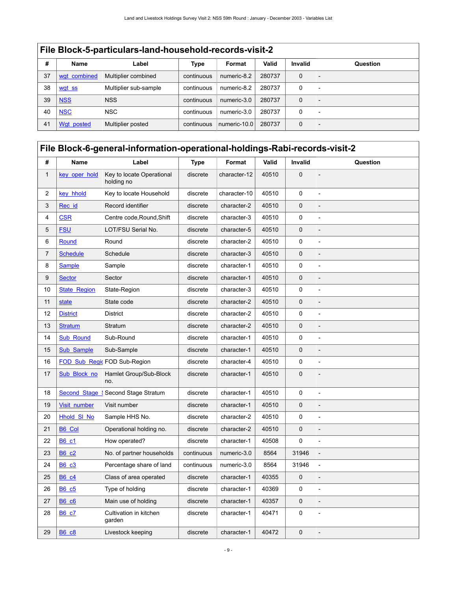|    | File Block-5-particulars-land-household-records-visit-2 |                       |            |              |        |                |                          |  |  |  |
|----|---------------------------------------------------------|-----------------------|------------|--------------|--------|----------------|--------------------------|--|--|--|
| #  | <b>Name</b>                                             | Label                 | Type       | Format       | Valid  | <b>Invalid</b> | Question                 |  |  |  |
| 37 | wgt combined                                            | Multiplier combined   | continuous | numeric-8.2  | 280737 | $\mathbf 0$    |                          |  |  |  |
| 38 | wgt ss                                                  | Multiplier sub-sample | continuous | numeric-8.2  | 280737 | 0              |                          |  |  |  |
| 39 | <b>NSS</b>                                              | <b>NSS</b>            | continuous | numeric-3.0  | 280737 | $\mathbf 0$    |                          |  |  |  |
| 40 | <b>NSC</b>                                              | <b>NSC</b>            | continuous | numeric-3.0  | 280737 | $\Omega$       | $\overline{\phantom{0}}$ |  |  |  |
| 41 | Wat posted                                              | Multiplier posted     | continuous | numeric-10.0 | 280737 | $\mathbf 0$    |                          |  |  |  |

<span id="page-12-0"></span>

| #            | Name                | Label                                   | <b>Type</b> | Format       | Valid | Invalid        | Question                 |
|--------------|---------------------|-----------------------------------------|-------------|--------------|-------|----------------|--------------------------|
| $\mathbf{1}$ | key oper hold       | Key to locate Operational<br>holding no | discrete    | character-12 | 40510 | $\overline{0}$ |                          |
| 2            | key hhold           | Key to locate Household                 | discrete    | character-10 | 40510 | 0              |                          |
| 3            | Rec id              | Record identifier                       | discrete    | character-2  | 40510 | 0              |                          |
| 4            | <b>CSR</b>          | Centre code, Round, Shift               | discrete    | character-3  | 40510 | 0              | $\overline{a}$           |
| 5            | <b>FSU</b>          | LOT/FSU Serial No.                      | discrete    | character-5  | 40510 | 0              |                          |
| 6            | Round               | Round                                   | discrete    | character-2  | 40510 | 0              |                          |
| 7            | <b>Schedule</b>     | Schedule                                | discrete    | character-3  | 40510 | 0              |                          |
| 8            | <b>Sample</b>       | Sample                                  | discrete    | character-1  | 40510 | 0              | $\overline{a}$           |
| 9            | <b>Sector</b>       | Sector                                  | discrete    | character-1  | 40510 | 0              |                          |
| 10           | <b>State Region</b> | State-Region                            | discrete    | character-3  | 40510 | 0              |                          |
| 11           | state               | State code                              | discrete    | character-2  | 40510 | 0              |                          |
| 12           | <b>District</b>     | <b>District</b>                         | discrete    | character-2  | 40510 | 0              | $\overline{a}$           |
| 13           | <b>Stratum</b>      | Stratum                                 | discrete    | character-2  | 40510 | 0              |                          |
| 14           | <b>Sub Round</b>    | Sub-Round                               | discrete    | character-1  | 40510 | 0              | $\overline{\phantom{m}}$ |
| 15           | Sub_Sample          | Sub-Sample                              | discrete    | character-1  | 40510 | $\mathsf 0$    |                          |
| 16           |                     | FOD Sub Regid FOD Sub-Region            | discrete    | character-4  | 40510 | 0              |                          |
| 17           | Sub Block no        | Hamlet Group/Sub-Block<br>no.           | discrete    | character-1  | 40510 | $\overline{0}$ |                          |
| 18           | Second Stage        | Second Stage Stratum                    | discrete    | character-1  | 40510 | 0              | $\overline{\phantom{m}}$ |
| 19           | Visit number        | Visit number                            | discrete    | character-1  | 40510 | 0              |                          |
| 20           | <b>Hhold SI No</b>  | Sample HHS No.                          | discrete    | character-2  | 40510 | 0              |                          |
| 21           | <b>B6 Col</b>       | Operational holding no.                 | discrete    | character-2  | 40510 | $\mathbf 0$    |                          |
| 22           | <b>B6_c1</b>        | How operated?                           | discrete    | character-1  | 40508 | 0              | $\overline{a}$           |
| 23           | <b>B6 c2</b>        | No. of partner households               | continuous  | numeric-3.0  | 8564  | 31946          |                          |
| 24           | <b>B6 c3</b>        | Percentage share of land                | continuous  | numeric-3.0  | 8564  | 31946          | $\overline{a}$           |
| 25           | <b>B6 c4</b>        | Class of area operated                  | discrete    | character-1  | 40355 | 0              |                          |
| 26           | <b>B6 c5</b>        | Type of holding                         | discrete    | character-1  | 40369 | 0              |                          |
| 27           | <b>B6 c6</b>        | Main use of holding                     | discrete    | character-1  | 40357 | 0              |                          |
| 28           | B6 c7               | Cultivation in kitchen<br>garden        | discrete    | character-1  | 40471 | 0              | $\overline{a}$           |
| 29           | <b>B6 c8</b>        | Livestock keeping                       | discrete    | character-1  | 40472 | 0              |                          |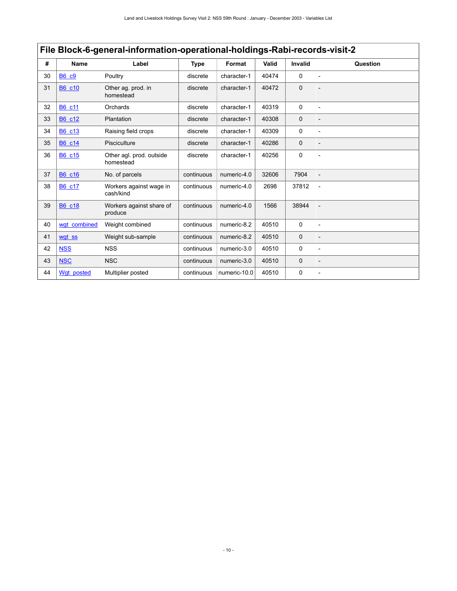|    | File Block-6-general-information-operational-holdings-Rabi-records-visit-2 |                                       |             |              |       |                |                |  |  |  |
|----|----------------------------------------------------------------------------|---------------------------------------|-------------|--------------|-------|----------------|----------------|--|--|--|
| #  | <b>Name</b>                                                                | Label                                 | <b>Type</b> | Format       | Valid | <b>Invalid</b> | Question       |  |  |  |
| 30 | <b>B6 c9</b>                                                               | Poultry                               | discrete    | character-1  | 40474 | $\Omega$       |                |  |  |  |
| 31 | B6 c10                                                                     | Other ag. prod. in<br>homestead       | discrete    | character-1  | 40472 | $\Omega$       |                |  |  |  |
| 32 | B6 c11                                                                     | Orchards                              | discrete    | character-1  | 40319 | $\Omega$       |                |  |  |  |
| 33 | B6 c12                                                                     | Plantation                            | discrete    | character-1  | 40308 | $\mathbf 0$    |                |  |  |  |
| 34 | B6 c13                                                                     | Raising field crops                   | discrete    | character-1  | 40309 | 0              |                |  |  |  |
| 35 | B6 c14                                                                     | Pisciculture                          | discrete    | character-1  | 40286 | $\mathbf 0$    |                |  |  |  |
| 36 | B6 c15                                                                     | Other agl. prod. outside<br>homestead | discrete    | character-1  | 40256 | 0              |                |  |  |  |
| 37 | B6 c16                                                                     | No. of parcels                        | continuous  | numeric-4.0  | 32606 | 7904           |                |  |  |  |
| 38 | B6 c17                                                                     | Workers against wage in<br>cash/kind  | continuous  | numeric-4.0  | 2698  | 37812          |                |  |  |  |
| 39 | B6 c18                                                                     | Workers against share of<br>produce   | continuous  | numeric-4.0  | 1566  | 38944          |                |  |  |  |
| 40 | wat combined                                                               | Weight combined                       | continuous  | numeric-8.2  | 40510 | $\Omega$       | $\overline{a}$ |  |  |  |
| 41 | wgt ss                                                                     | Weight sub-sample                     | continuous  | numeric-8.2  | 40510 | $\mathbf 0$    |                |  |  |  |
| 42 | <b>NSS</b>                                                                 | <b>NSS</b>                            | continuous  | numeric-3.0  | 40510 | 0              |                |  |  |  |
| 43 | <b>NSC</b>                                                                 | <b>NSC</b>                            | continuous  | numeric-3.0  | 40510 | $\mathbf 0$    |                |  |  |  |
| 44 | Wat posted                                                                 | Multiplier posted                     | continuous  | numeric-10.0 | 40510 | 0              |                |  |  |  |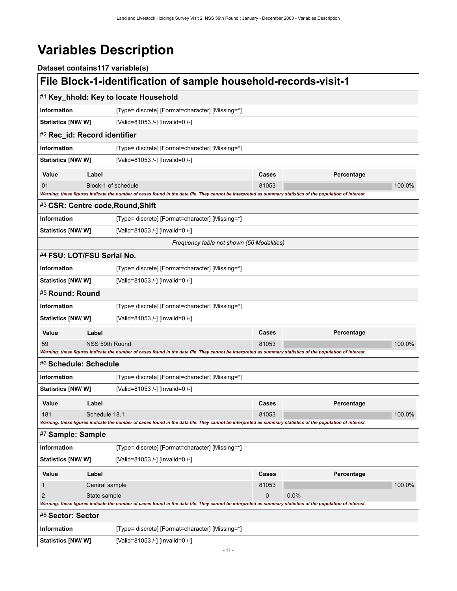# <span id="page-14-0"></span>**Variables Description**

<span id="page-14-9"></span><span id="page-14-8"></span><span id="page-14-7"></span><span id="page-14-6"></span><span id="page-14-5"></span><span id="page-14-4"></span><span id="page-14-3"></span><span id="page-14-2"></span><span id="page-14-1"></span>

| Dataset contains117 variable(s) |                |                                                                                                                                                             |                                           |            |        |
|---------------------------------|----------------|-------------------------------------------------------------------------------------------------------------------------------------------------------------|-------------------------------------------|------------|--------|
|                                 |                | File Block-1-identification of sample household-records-visit-1                                                                                             |                                           |            |        |
|                                 |                | #1 Key_hhold: Key to locate Household                                                                                                                       |                                           |            |        |
| <b>Information</b>              |                | [Type= discrete] [Format=character] [Missing=*]                                                                                                             |                                           |            |        |
| <b>Statistics [NW/ W]</b>       |                | [Valid=81053 /-] [Invalid=0 /-]                                                                                                                             |                                           |            |        |
| #2 Rec_id: Record identifier    |                |                                                                                                                                                             |                                           |            |        |
| Information                     |                | [Type= discrete] [Format=character] [Missing=*]                                                                                                             |                                           |            |        |
| Statistics [NW/ W]              |                | [Valid=81053 /-] [Invalid=0 /-]                                                                                                                             |                                           |            |        |
| Value                           | Label          |                                                                                                                                                             | Cases                                     | Percentage |        |
| 01                              |                | Block-1 of schedule                                                                                                                                         | 81053                                     |            | 100.0% |
|                                 |                | Warning: these figures indicate the number of cases found in the data file. They cannot be interpreted as summary statistics of the population of interest. |                                           |            |        |
|                                 |                | #3 CSR: Centre code, Round, Shift                                                                                                                           |                                           |            |        |
| <b>Information</b>              |                | [Type= discrete] [Format=character] [Missing=*]                                                                                                             |                                           |            |        |
| Statistics [NW/ W]              |                | [Valid=81053 /-] [Invalid=0 /-]                                                                                                                             |                                           |            |        |
|                                 |                |                                                                                                                                                             | Frequency table not shown (56 Modalities) |            |        |
| #4 FSU: LOT/FSU Serial No.      |                |                                                                                                                                                             |                                           |            |        |
| Information                     |                | [Type= discrete] [Format=character] [Missing=*]                                                                                                             |                                           |            |        |
| Statistics [NW/W]               |                | [Valid=81053 /-] [Invalid=0 /-]                                                                                                                             |                                           |            |        |
| #5 Round: Round                 |                |                                                                                                                                                             |                                           |            |        |
| Information                     |                | [Type= discrete] [Format=character] [Missing=*]                                                                                                             |                                           |            |        |
| <b>Statistics [NW/ W]</b>       |                | [Valid=81053 /-] [Invalid=0 /-]                                                                                                                             |                                           |            |        |
| Value                           | Label          |                                                                                                                                                             | Cases                                     | Percentage |        |
| 59                              | NSS 59th Round |                                                                                                                                                             | 81053                                     |            | 100.0% |
|                                 |                | Warning: these figures indicate the number of cases found in the data file. They cannot be interpreted as summary statistics of the population of interest. |                                           |            |        |
| #6 Schedule: Schedule           |                |                                                                                                                                                             |                                           |            |        |
| Information                     |                | [Type= discrete] [Format=character] [Missing=*]                                                                                                             |                                           |            |        |
| Statistics [NW/W]               |                | [Valid=81053 /-] [Invalid=0 /-]                                                                                                                             |                                           |            |        |
| Value                           | Label          |                                                                                                                                                             | Cases                                     | Percentage |        |
| 181                             | Schedule 18.1  |                                                                                                                                                             | 81053                                     |            | 100.0% |
|                                 |                | Warning: these figures indicate the number of cases found in the data file. They cannot be interpreted as summary statistics of the population of interest. |                                           |            |        |
| #7 Sample: Sample               |                |                                                                                                                                                             |                                           |            |        |
| <b>Information</b>              |                | [Type= discrete] [Format=character] [Missing=*]                                                                                                             |                                           |            |        |
| Statistics [NW/ W]              |                | [Valid=81053 /-] [Invalid=0 /-]                                                                                                                             |                                           |            |        |
| Value                           | Label          |                                                                                                                                                             | Cases                                     | Percentage |        |
| 1                               | Central sample |                                                                                                                                                             | 81053                                     |            | 100.0% |
| $\overline{2}$                  | State sample   |                                                                                                                                                             | 0                                         | 0.0%       |        |
|                                 |                | Warning: these figures indicate the number of cases found in the data file. They cannot be interpreted as summary statistics of the population of interest. |                                           |            |        |
| #8 Sector: Sector               |                |                                                                                                                                                             |                                           |            |        |
| <b>Information</b>              |                | [Type= discrete] [Format=character] [Missing=*]                                                                                                             |                                           |            |        |
| <b>Statistics [NW/ W]</b>       |                | [Valid=81053 /-] [Invalid=0 /-]                                                                                                                             |                                           |            |        |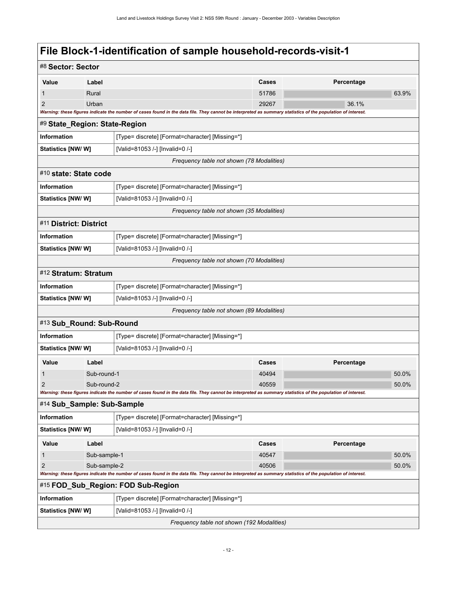<span id="page-15-6"></span><span id="page-15-5"></span><span id="page-15-4"></span><span id="page-15-3"></span><span id="page-15-2"></span><span id="page-15-1"></span><span id="page-15-0"></span>

| #8 Sector: Sector             |              |                                                                                                                                                             |       |            |       |
|-------------------------------|--------------|-------------------------------------------------------------------------------------------------------------------------------------------------------------|-------|------------|-------|
| Value                         | Label        |                                                                                                                                                             | Cases | Percentage |       |
| 1                             | Rural        |                                                                                                                                                             | 51786 |            | 63.9% |
| $\overline{2}$                | Urban        |                                                                                                                                                             | 29267 | 36.1%      |       |
|                               |              | Warning: these figures indicate the number of cases found in the data file. They cannot be interpreted as summary statistics of the population of interest. |       |            |       |
| #9 State_Region: State-Region |              |                                                                                                                                                             |       |            |       |
| <b>Information</b>            |              | [Type= discrete] [Format=character] [Missing=*]                                                                                                             |       |            |       |
| <b>Statistics [NW/ W]</b>     |              | [Valid=81053 /-] [Invalid=0 /-]                                                                                                                             |       |            |       |
|                               |              | Frequency table not shown (78 Modalities)                                                                                                                   |       |            |       |
| #10 state: State code         |              |                                                                                                                                                             |       |            |       |
| Information                   |              | [Type= discrete] [Format=character] [Missing=*]                                                                                                             |       |            |       |
| <b>Statistics [NW/ W]</b>     |              | [Valid=81053 /-] [Invalid=0 /-]                                                                                                                             |       |            |       |
|                               |              | Frequency table not shown (35 Modalities)                                                                                                                   |       |            |       |
| #11 District: District        |              |                                                                                                                                                             |       |            |       |
| Information                   |              | [Type= discrete] [Format=character] [Missing=*]                                                                                                             |       |            |       |
| <b>Statistics [NW/ W]</b>     |              | [Valid=81053 /-] [Invalid=0 /-]                                                                                                                             |       |            |       |
|                               |              | Frequency table not shown (70 Modalities)                                                                                                                   |       |            |       |
| #12 Stratum: Stratum          |              |                                                                                                                                                             |       |            |       |
| Information                   |              | [Type= discrete] [Format=character] [Missing=*]                                                                                                             |       |            |       |
| Statistics [NW/ W]            |              | [Valid=81053 /-] [Invalid=0 /-]                                                                                                                             |       |            |       |
|                               |              | Frequency table not shown (89 Modalities)                                                                                                                   |       |            |       |
| #13 Sub_Round: Sub-Round      |              |                                                                                                                                                             |       |            |       |
| Information                   |              | [Type= discrete] [Format=character] [Missing=*]                                                                                                             |       |            |       |
| <b>Statistics [NW/ W]</b>     |              | [Valid=81053 /-] [Invalid=0 /-]                                                                                                                             |       |            |       |
| Value                         | Label        |                                                                                                                                                             | Cases | Percentage |       |
| 1                             | Sub-round-1  |                                                                                                                                                             | 40494 |            | 50.0% |
| 2                             | Sub-round-2  |                                                                                                                                                             | 40559 |            | 50.0% |
|                               |              | Warning: these figures indicate the number of cases found in the data file. They cannot be interpreted as summary statistics of the population of interest. |       |            |       |
| #14 Sub_Sample: Sub-Sample    |              |                                                                                                                                                             |       |            |       |
| Information                   |              | [Type= discrete] [Format=character] [Missing=*]                                                                                                             |       |            |       |
| Statistics [NW/W]             |              | [Valid=81053 /-] [Invalid=0 /-]                                                                                                                             |       |            |       |
| Value                         | Label        |                                                                                                                                                             | Cases | Percentage |       |
| 1                             | Sub-sample-1 |                                                                                                                                                             | 40547 |            | 50.0% |
| $\overline{2}$                | Sub-sample-2 |                                                                                                                                                             | 40506 |            | 50.0% |
|                               |              | Warning: these figures indicate the number of cases found in the data file. They cannot be interpreted as summary statistics of the population of interest. |       |            |       |
|                               |              | #15 FOD_Sub_Region: FOD Sub-Region                                                                                                                          |       |            |       |
| Information                   |              | [Type= discrete] [Format=character] [Missing=*]                                                                                                             |       |            |       |
| Statistics [NW/W]             |              | [Valid=81053 /-] [Invalid=0 /-]                                                                                                                             |       |            |       |
|                               |              | Frequency table not shown (192 Modalities)                                                                                                                  |       |            |       |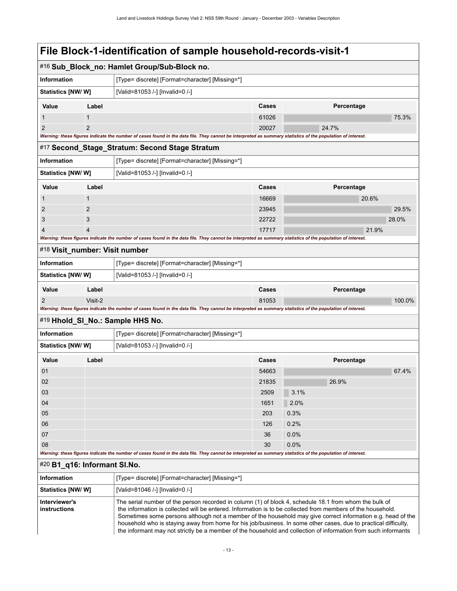<span id="page-16-2"></span><span id="page-16-1"></span><span id="page-16-0"></span>

|                                                                       |                                 | #16 Sub_Block_no: Hamlet Group/Sub-Block no.                                                                                                                                                                          |       |                 |            |        |  |  |
|-----------------------------------------------------------------------|---------------------------------|-----------------------------------------------------------------------------------------------------------------------------------------------------------------------------------------------------------------------|-------|-----------------|------------|--------|--|--|
| Information                                                           |                                 | [Type= discrete] [Format=character] [Missing=*]                                                                                                                                                                       |       |                 |            |        |  |  |
| Statistics [NW/W]                                                     | [Valid=81053 /-] [Invalid=0 /-] |                                                                                                                                                                                                                       |       |                 |            |        |  |  |
| Value                                                                 | Label                           |                                                                                                                                                                                                                       | Cases |                 | Percentage |        |  |  |
| 1                                                                     | 1                               |                                                                                                                                                                                                                       | 61026 |                 |            | 75.3%  |  |  |
| $\overline{2}$                                                        | $\overline{2}$                  |                                                                                                                                                                                                                       | 20027 |                 | 24.7%      |        |  |  |
|                                                                       |                                 | Warning: these figures indicate the number of cases found in the data file. They cannot be interpreted as summary statistics of the population of interest.                                                           |       |                 |            |        |  |  |
|                                                                       |                                 | #17 Second_Stage_Stratum: Second Stage Stratum                                                                                                                                                                        |       |                 |            |        |  |  |
| Information                                                           |                                 | [Type= discrete] [Format=character] [Missing=*]                                                                                                                                                                       |       |                 |            |        |  |  |
| Statistics [NW/W]                                                     |                                 | [Valid=81053 /-] [Invalid=0 /-]                                                                                                                                                                                       |       |                 |            |        |  |  |
| Value                                                                 | Label                           |                                                                                                                                                                                                                       | Cases |                 | Percentage |        |  |  |
| 1                                                                     | $\mathbf 1$                     |                                                                                                                                                                                                                       | 16669 |                 | 20.6%      |        |  |  |
| 2                                                                     | 2                               |                                                                                                                                                                                                                       | 23945 |                 |            | 29.5%  |  |  |
| 3                                                                     | 3                               |                                                                                                                                                                                                                       | 22722 |                 |            | 28.0%  |  |  |
|                                                                       | 4                               |                                                                                                                                                                                                                       | 17717 |                 |            | 21.9%  |  |  |
|                                                                       |                                 | Warning: these figures indicate the number of cases found in the data file. They cannot be interpreted as summary statistics of the population of interest.                                                           |       |                 |            |        |  |  |
| #18 Visit_number: Visit number                                        |                                 |                                                                                                                                                                                                                       |       |                 |            |        |  |  |
| <b>Information</b><br>[Type= discrete] [Format=character] [Missing=*] |                                 |                                                                                                                                                                                                                       |       |                 |            |        |  |  |
| <b>Statistics [NW/W]</b>                                              |                                 | [Valid=81053 /-] [Invalid=0 /-]                                                                                                                                                                                       |       |                 |            |        |  |  |
| Value                                                                 | Label                           |                                                                                                                                                                                                                       | Cases |                 | Percentage |        |  |  |
| 2                                                                     | Visit-2                         |                                                                                                                                                                                                                       | 81053 |                 |            | 100.0% |  |  |
|                                                                       |                                 | Warning: these figures indicate the number of cases found in the data file. They cannot be interpreted as summary statistics of the population of interest.                                                           |       |                 |            |        |  |  |
|                                                                       |                                 | #19 Hhold_SI_No.: Sample HHS No.                                                                                                                                                                                      |       |                 |            |        |  |  |
| Information                                                           |                                 | [Type= discrete] [Format=character] [Missing=*]                                                                                                                                                                       |       |                 |            |        |  |  |
| <b>Statistics [NW/W]</b>                                              |                                 | [Valid=81053 /-] [Invalid=0 /-]                                                                                                                                                                                       |       |                 |            |        |  |  |
| Value                                                                 | Label                           |                                                                                                                                                                                                                       | Cases |                 | Percentage |        |  |  |
| 01                                                                    |                                 |                                                                                                                                                                                                                       | 54663 |                 |            | 67.4%  |  |  |
| 02                                                                    |                                 |                                                                                                                                                                                                                       | 21835 |                 | 26.9%      |        |  |  |
| 03                                                                    |                                 |                                                                                                                                                                                                                       | 2509  | $\boxed{3.1\%}$ |            |        |  |  |
| 04                                                                    |                                 |                                                                                                                                                                                                                       | 1651  | 2.0%            |            |        |  |  |
| 05                                                                    |                                 |                                                                                                                                                                                                                       | 203   | 0.3%            |            |        |  |  |
| 06                                                                    |                                 |                                                                                                                                                                                                                       | 126   | 0.2%            |            |        |  |  |
| 07                                                                    |                                 |                                                                                                                                                                                                                       | 36    | 0.0%            |            |        |  |  |
| 08                                                                    |                                 |                                                                                                                                                                                                                       | 30    | 0.0%            |            |        |  |  |
|                                                                       |                                 | Warning: these figures indicate the number of cases found in the data file. They cannot be interpreted as summary statistics of the population of interest.                                                           |       |                 |            |        |  |  |
| #20 B1_q16: Informant SI.No.                                          |                                 |                                                                                                                                                                                                                       |       |                 |            |        |  |  |
| Information                                                           |                                 | [Type= discrete] [Format=character] [Missing=*]                                                                                                                                                                       |       |                 |            |        |  |  |
| <b>Statistics [NW/W]</b>                                              |                                 | [Valid=81046 /-] [Invalid=0 /-]                                                                                                                                                                                       |       |                 |            |        |  |  |
| Interviewer's<br>instructions                                         |                                 | The serial number of the person recorded in column (1) of block 4, schedule 18.1 from whom the bulk of<br>the information is collected will be entered. Information is to be collected from members of the household. |       |                 |            |        |  |  |

<span id="page-16-4"></span><span id="page-16-3"></span> Sometimes some persons although not a member of the household may give correct information e.g. head of the household who is staying away from home for his job/business. In some other cases, due to practical difficulty, the informant may not strictly be a member of the household and collection of information from such informants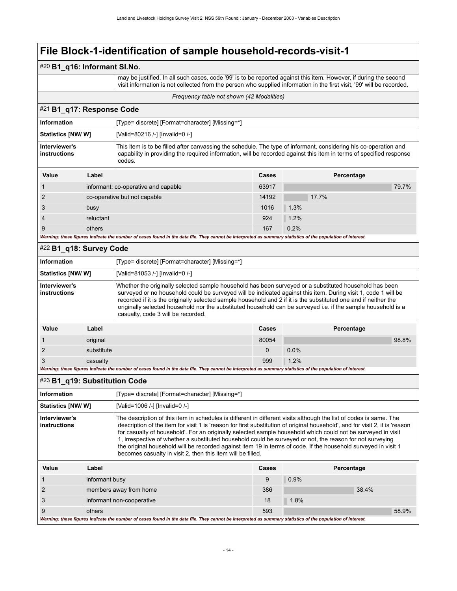### #20 **B1\_q16: Informant Sl.No.**

 may be justified. In all such cases, code '99' is to be reported against this item. However, if during the second visit information is not collected from the person who supplied information in the first visit, '99' will be recorded.

#### *Frequency table not shown (42 Modalities)*

### <span id="page-17-0"></span>#21 **B1\_q17: Response Code**

| <b>Information</b><br>[Type= discrete] [Format=character] [Missing=*]                                                                                                                                                                                                              |           |                                     |       |            |       |  |
|------------------------------------------------------------------------------------------------------------------------------------------------------------------------------------------------------------------------------------------------------------------------------------|-----------|-------------------------------------|-------|------------|-------|--|
| <b>Statistics [NW/W]</b>                                                                                                                                                                                                                                                           |           | [Valid=80216 /-] [Invalid=0 /-]     |       |            |       |  |
| Interviewer's<br>This item is to be filled after canvassing the schedule. The type of informant, considering his co-operation and<br>capability in providing the required information, will be recorded against this item in terms of specified response<br>instructions<br>codes. |           |                                     |       |            |       |  |
| Value                                                                                                                                                                                                                                                                              | Label     |                                     | Cases | Percentage |       |  |
|                                                                                                                                                                                                                                                                                    |           | informant: co-operative and capable | 63917 |            | 79.7% |  |
|                                                                                                                                                                                                                                                                                    |           | co-operative but not capable        | 14192 | 17.7%      |       |  |
| 3                                                                                                                                                                                                                                                                                  | busy      |                                     | 1016  | 1.3%       |       |  |
|                                                                                                                                                                                                                                                                                    | reluctant |                                     | 924   | 1.2%       |       |  |
|                                                                                                                                                                                                                                                                                    | others    |                                     | 167   | 0.2%       |       |  |

*Warning: these figures indicate the number of cases found in the data file. They cannot be interpreted as summary statistics of the population of interest.*

#### <span id="page-17-1"></span>#22 **B1\_q18: Survey Code**

| Information<br>[Type= discrete] [Format=character] [Missing=*]                                                                                                                                                                                                                                                                                                                                                                                                                                                                       |            |  |             |            |       |
|--------------------------------------------------------------------------------------------------------------------------------------------------------------------------------------------------------------------------------------------------------------------------------------------------------------------------------------------------------------------------------------------------------------------------------------------------------------------------------------------------------------------------------------|------------|--|-------------|------------|-------|
| <b>Statistics [NW/ W]</b><br>[Valid=81053 /-] [Invalid=0 /-]                                                                                                                                                                                                                                                                                                                                                                                                                                                                         |            |  |             |            |       |
| Whether the originally selected sample household has been surveyed or a substituted household has been<br>Interviewer's<br>surveyed or no household could be surveyed will be indicated against this item. During visit 1, code 1 will be<br>instructions<br>recorded if it is the originally selected sample household and 2 if it is the substituted one and if neither the<br>originally selected household nor the substituted household can be surveyed i.e. if the sample household is a<br>casualty, code 3 will be recorded. |            |  |             |            |       |
| Value                                                                                                                                                                                                                                                                                                                                                                                                                                                                                                                                | Label      |  | Cases       | Percentage |       |
|                                                                                                                                                                                                                                                                                                                                                                                                                                                                                                                                      | original   |  | 80054       |            | 98.8% |
| 2                                                                                                                                                                                                                                                                                                                                                                                                                                                                                                                                    | substitute |  | $\mathbf 0$ | 0.0%       |       |
| 3                                                                                                                                                                                                                                                                                                                                                                                                                                                                                                                                    | casualty   |  | 999         | 1.2%       |       |

*Warning: these figures indicate the number of cases found in the data file. They cannot be interpreted as summary statistics of the population of interest.*

#### <span id="page-17-2"></span>#23 **B1\_q19: Substitution Code**

| <b>Information</b>                                                                                                                                          |                           | [Type= discrete] [Format=character] [Missing=*]                                                                                                                                                                                                                                                                                                                                                                                                                                                                                                                                                                                                                  |     |      |       |  |
|-------------------------------------------------------------------------------------------------------------------------------------------------------------|---------------------------|------------------------------------------------------------------------------------------------------------------------------------------------------------------------------------------------------------------------------------------------------------------------------------------------------------------------------------------------------------------------------------------------------------------------------------------------------------------------------------------------------------------------------------------------------------------------------------------------------------------------------------------------------------------|-----|------|-------|--|
| <b>Statistics [NW/W]</b>                                                                                                                                    |                           | [Valid=1006 /-] [Invalid=0 /-]                                                                                                                                                                                                                                                                                                                                                                                                                                                                                                                                                                                                                                   |     |      |       |  |
| Interviewer's<br>instructions                                                                                                                               |                           | The description of this item in schedules is different in different visits although the list of codes is same. The<br>description of the item for visit 1 is 'reason for first substitution of original household', and for visit 2, it is 'reason<br>for casualty of household'. For an originally selected sample household which could not be surveyed in visit<br>1, irrespective of whether a substituted household could be surveyed or not, the reason for not surveying<br>the original household will be recorded against item 19 in terms of code. If the household surveyed in visit 1<br>becomes casualty in visit 2, then this item will be filled. |     |      |       |  |
| Value                                                                                                                                                       | Label                     | Cases<br>Percentage                                                                                                                                                                                                                                                                                                                                                                                                                                                                                                                                                                                                                                              |     |      |       |  |
|                                                                                                                                                             | informant busy            |                                                                                                                                                                                                                                                                                                                                                                                                                                                                                                                                                                                                                                                                  | 9   | 0.9% |       |  |
| 2                                                                                                                                                           | members away from home    |                                                                                                                                                                                                                                                                                                                                                                                                                                                                                                                                                                                                                                                                  | 386 |      | 38.4% |  |
| 3                                                                                                                                                           | informant non-cooperative |                                                                                                                                                                                                                                                                                                                                                                                                                                                                                                                                                                                                                                                                  | 18  | 1.8% |       |  |
| 9<br>others                                                                                                                                                 |                           | 593                                                                                                                                                                                                                                                                                                                                                                                                                                                                                                                                                                                                                                                              |     |      | 58.9% |  |
| Warning: these figures indicate the number of cases found in the data file. They cannot be interpreted as summary statistics of the population of interest. |                           |                                                                                                                                                                                                                                                                                                                                                                                                                                                                                                                                                                                                                                                                  |     |      |       |  |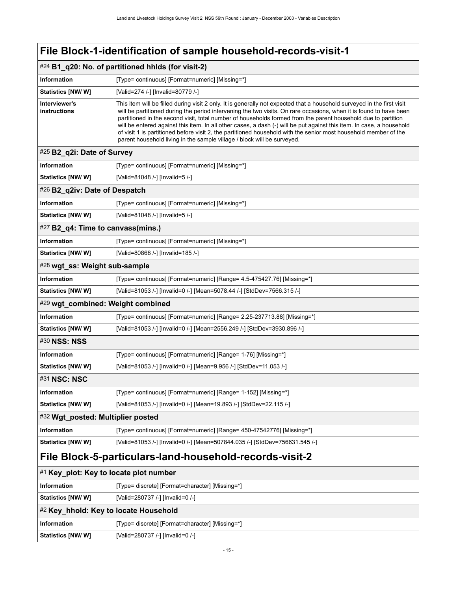<span id="page-18-1"></span>

| $#24$ B1 q20: No. of partitioned hhids (for visit-2) |                                                                                                                                                                                                                                                                                                                                                                                                                                                                                                                                                                                                                                                                                        |  |  |  |
|------------------------------------------------------|----------------------------------------------------------------------------------------------------------------------------------------------------------------------------------------------------------------------------------------------------------------------------------------------------------------------------------------------------------------------------------------------------------------------------------------------------------------------------------------------------------------------------------------------------------------------------------------------------------------------------------------------------------------------------------------|--|--|--|
| Information                                          | [Type= continuous] [Format=numeric] [Missing=*]                                                                                                                                                                                                                                                                                                                                                                                                                                                                                                                                                                                                                                        |  |  |  |
| Statistics [NW/ W]                                   | [Valid=274 /-] [Invalid=80779 /-]                                                                                                                                                                                                                                                                                                                                                                                                                                                                                                                                                                                                                                                      |  |  |  |
| Interviewer's<br>instructions                        | This item will be filled during visit 2 only. It is generally not expected that a household surveyed in the first visit<br>will be partitioned during the period intervening the two visits. On rare occasions, when it is found to have been<br>partitioned in the second visit, total number of households formed from the parent household due to partition<br>will be entered against this item. In all other cases, a dash (-) will be put against this item. In case, a household<br>of visit 1 is partitioned before visit 2, the partitioned household with the senior most household member of the<br>parent household living in the sample village / block will be surveyed. |  |  |  |

## <span id="page-18-2"></span>#25 **B2\_q2i: Date of Survey Information information [Type= continuous] [Format=numeric] [Missing=\*] Statistics [NW/ W]** [Valid=81048 /-] [Invalid=5 /-]

### <span id="page-18-3"></span>#26 **B2\_q2iv: Date of Despatch**

| Information        | [Type= continuous] [Format=numeric] [Missing=*] |
|--------------------|-------------------------------------------------|
| Statistics [NW/ W] | [Valid=81048 /-] [Invalid=5 /-]                 |

## <span id="page-18-4"></span>#27 **B2\_q4: Time to canvass(mins.)**

| Information       | [Type= continuous] [Format=numeric] [Missing=*] |
|-------------------|-------------------------------------------------|
| Statistics [NW/W] | [Valid=80868 /-] [Invalid=185 /-]               |

## <span id="page-18-5"></span>#28 **wgt\_ss: Weight sub-sample**

| <b>Information</b>       | [Type= continuous] [Format=numeric] [Range= 4.5-475427.76] [Missing=*] |
|--------------------------|------------------------------------------------------------------------|
| <b>Statistics [NW/W]</b> | [Valid=81053 /-] [Invalid=0 /-] [Mean=5078.44 /-] [StdDev=7566.315 /-] |

## <span id="page-18-6"></span>#29 **wgt\_combined: Weight combined Information If Type= continuous**] [Format=numeric] [Range= 2.25-237713.88] [Missing=\*]

<span id="page-18-7"></span>

| Statistics [NW/ W]       | [Valid=81053 /-] [Invalid=0 /-] [Mean=2556.249 /-] [StdDev=3930.896 /-] |  |  |  |
|--------------------------|-------------------------------------------------------------------------|--|--|--|
| #30 NSS: NSS             |                                                                         |  |  |  |
| <b>Information</b>       | [Type= continuous] [Format=numeric] [Range= 1-76] [Missing=*]           |  |  |  |
| <b>Statistics [NW/W]</b> | [Valid=81053 /-] [Invalid=0 /-] [Mean=9.956 /-] [StdDev=11.053 /-]      |  |  |  |
| #31 NSC: NSC             |                                                                         |  |  |  |
| <b>Information</b>       | [Type= continuous] [Format=numeric] [Range= 1-152] [Missing=*]          |  |  |  |

## <span id="page-18-9"></span>#32 **Wgt\_posted: Multiplier posted**

| Information              | [Type= continuous] [Format=numeric] [Range= 450-47542776] [Missing=*]       |
|--------------------------|-----------------------------------------------------------------------------|
| <b>Statistics [NW/W]</b> | [Valid=81053 /-] [Invalid=0 /-] [Mean=507844.035 /-] [StdDev=756631.545 /-] |

## <span id="page-18-0"></span>**File Block-5-particulars-land-household-records-visit-2**

<span id="page-18-8"></span>**Statistics [NW/ W]** [Valid=81053 /-] [Invalid=0 /-] [Mean=19.893 /-] [StdDev=22.115 /-]

### <span id="page-18-10"></span>#1 **Key\_plot: Key to locate plot number**

<span id="page-18-11"></span>

| <b>Information</b>                    | [Type= discrete] [Format=character] [Missing=*] |  |
|---------------------------------------|-------------------------------------------------|--|
| <b>Statistics [NW/ W]</b>             | [Valid=280737 /-] [Invalid=0 /-]                |  |
| #2 Key hhold: Key to locate Household |                                                 |  |
| <b>Information</b>                    | [Type= discrete] [Format=character] [Missing=*] |  |
| Statistics [NW/W]                     | [Valid=280737 /-] [Invalid=0 /-]                |  |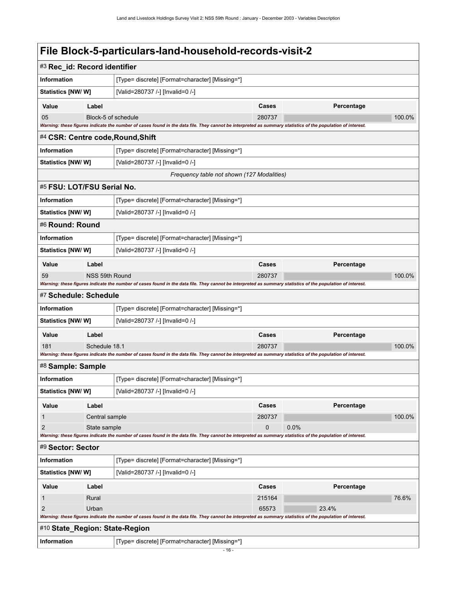<span id="page-19-7"></span><span id="page-19-6"></span><span id="page-19-5"></span><span id="page-19-4"></span><span id="page-19-3"></span><span id="page-19-2"></span><span id="page-19-1"></span><span id="page-19-0"></span>

| #3 Rec_id: Record identifier                                   |                     |                                                                                                                                                             |        |            |        |
|----------------------------------------------------------------|---------------------|-------------------------------------------------------------------------------------------------------------------------------------------------------------|--------|------------|--------|
| <b>Information</b>                                             |                     | [Type= discrete] [Format=character] [Missing=*]                                                                                                             |        |            |        |
| Statistics [NW/W]                                              |                     | [Valid=280737 /-] [Invalid=0 /-]                                                                                                                            |        |            |        |
| Value                                                          | Label               |                                                                                                                                                             | Cases  | Percentage |        |
| 05                                                             | Block-5 of schedule |                                                                                                                                                             | 280737 |            | 100.0% |
|                                                                |                     | Warning: these figures indicate the number of cases found in the data file. They cannot be interpreted as summary statistics of the population of interest. |        |            |        |
| #4 CSR: Centre code, Round, Shift                              |                     |                                                                                                                                                             |        |            |        |
| Information                                                    |                     | [Type= discrete] [Format=character] [Missing=*]                                                                                                             |        |            |        |
| <b>Statistics [NW/ W]</b>                                      |                     | [Valid=280737 /-] [Invalid=0 /-]                                                                                                                            |        |            |        |
|                                                                |                     | Frequency table not shown (127 Modalities)                                                                                                                  |        |            |        |
| #5 FSU: LOT/FSU Serial No.                                     |                     |                                                                                                                                                             |        |            |        |
| Information                                                    |                     | [Type= discrete] [Format=character] [Missing=*]                                                                                                             |        |            |        |
| <b>Statistics [NW/ W]</b>                                      |                     | [Valid=280737 /-] [Invalid=0 /-]                                                                                                                            |        |            |        |
| #6 Round: Round                                                |                     |                                                                                                                                                             |        |            |        |
| Information                                                    |                     | [Type= discrete] [Format=character] [Missing=*]                                                                                                             |        |            |        |
| <b>Statistics [NW/ W]</b>                                      |                     | [Valid=280737 /-] [Invalid=0 /-]                                                                                                                            |        |            |        |
| Value                                                          | Label               |                                                                                                                                                             | Cases  | Percentage |        |
| 59                                                             | NSS 59th Round      |                                                                                                                                                             | 280737 |            | 100.0% |
|                                                                |                     | Warning: these figures indicate the number of cases found in the data file. They cannot be interpreted as summary statistics of the population of interest. |        |            |        |
| #7 Schedule: Schedule                                          |                     |                                                                                                                                                             |        |            |        |
| Information                                                    |                     | [Type= discrete] [Format=character] [Missing=*]                                                                                                             |        |            |        |
| <b>Statistics [NW/ W]</b>                                      |                     | [Valid=280737 /-] [Invalid=0 /-]                                                                                                                            |        |            |        |
| Value                                                          | Label               |                                                                                                                                                             | Cases  | Percentage |        |
| 181                                                            | Schedule 18.1       |                                                                                                                                                             | 280737 |            | 100.0% |
| #8 Sample: Sample                                              |                     | Warning: these figures indicate the number of cases found in the data file. They cannot be interpreted as summary statistics of the population of interest. |        |            |        |
|                                                                |                     |                                                                                                                                                             |        |            |        |
| <b>Information</b>                                             |                     | [Type= discrete] [Format=character] [Missing=*]                                                                                                             |        |            |        |
| Statistics [NW/ W]                                             |                     | [Valid=280737 /-] [Invalid=0 /-]                                                                                                                            |        |            |        |
| Value                                                          | Label               |                                                                                                                                                             | Cases  | Percentage |        |
| 1                                                              | Central sample      |                                                                                                                                                             | 280737 |            | 100.0% |
| $\overline{2}$                                                 | State sample        | Warning: these figures indicate the number of cases found in the data file. They cannot be interpreted as summary statistics of the population of interest. | 0      | 0.0%       |        |
| #9 Sector: Sector                                              |                     |                                                                                                                                                             |        |            |        |
| Information<br>[Type= discrete] [Format=character] [Missing=*] |                     |                                                                                                                                                             |        |            |        |
| Statistics [NW/ W]                                             |                     | [Valid=280737 /-] [Invalid=0 /-]                                                                                                                            |        |            |        |
| Value                                                          | Label               |                                                                                                                                                             | Cases  | Percentage |        |
| 1                                                              | Rural               |                                                                                                                                                             | 215164 |            | 76.6%  |
| $\overline{2}$                                                 | Urban               |                                                                                                                                                             | 65573  | 23.4%      |        |
|                                                                |                     | Warning: these figures indicate the number of cases found in the data file. They cannot be interpreted as summary statistics of the population of interest. |        |            |        |
| #10 State_Region: State-Region                                 |                     |                                                                                                                                                             |        |            |        |
| Information                                                    |                     | [Type= discrete] [Format=character] [Missing=*]                                                                                                             |        |            |        |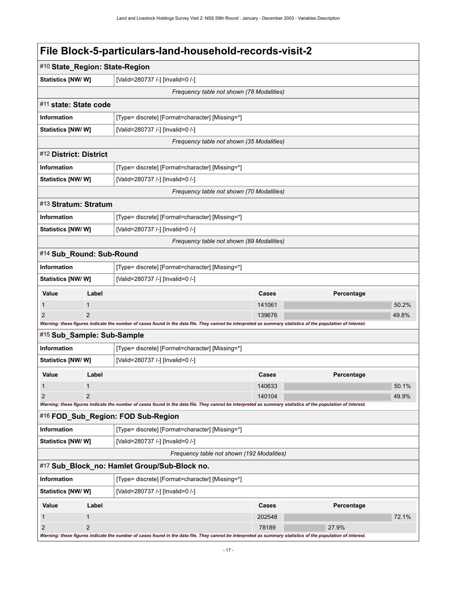<span id="page-20-6"></span><span id="page-20-5"></span><span id="page-20-4"></span><span id="page-20-3"></span><span id="page-20-2"></span><span id="page-20-1"></span><span id="page-20-0"></span>

| #10 State_Region: State-Region |                                                               |                                                                                                                                                             |                 |            |       |
|--------------------------------|---------------------------------------------------------------|-------------------------------------------------------------------------------------------------------------------------------------------------------------|-----------------|------------|-------|
|                                | [Valid=280737 /-] [Invalid=0 /-]<br><b>Statistics [NW/ W]</b> |                                                                                                                                                             |                 |            |       |
|                                |                                                               | Frequency table not shown (78 Modalities)                                                                                                                   |                 |            |       |
| #11 state: State code          |                                                               |                                                                                                                                                             |                 |            |       |
| Information                    |                                                               | [Type= discrete] [Format=character] [Missing=*]                                                                                                             |                 |            |       |
| Statistics [NW/W]              |                                                               | [Valid=280737 /-] [Invalid=0 /-]                                                                                                                            |                 |            |       |
|                                |                                                               | Frequency table not shown (35 Modalities)                                                                                                                   |                 |            |       |
| #12 District: District         |                                                               |                                                                                                                                                             |                 |            |       |
| <b>Information</b>             |                                                               | [Type= discrete] [Format=character] [Missing=*]                                                                                                             |                 |            |       |
| <b>Statistics [NW/W]</b>       |                                                               | [Valid=280737 /-] [Invalid=0 /-]                                                                                                                            |                 |            |       |
|                                |                                                               | Frequency table not shown (70 Modalities)                                                                                                                   |                 |            |       |
| #13 Stratum: Stratum           |                                                               |                                                                                                                                                             |                 |            |       |
| <b>Information</b>             |                                                               | [Type= discrete] [Format=character] [Missing=*]                                                                                                             |                 |            |       |
| Statistics [NW/ W]             |                                                               | [Valid=280737 /-] [Invalid=0 /-]                                                                                                                            |                 |            |       |
|                                |                                                               | Frequency table not shown (89 Modalities)                                                                                                                   |                 |            |       |
| #14 Sub_Round: Sub-Round       |                                                               |                                                                                                                                                             |                 |            |       |
| <b>Information</b>             |                                                               | [Type= discrete] [Format=character] [Missing=*]                                                                                                             |                 |            |       |
| <b>Statistics [NW/ W]</b>      |                                                               | [Valid=280737 /-] [Invalid=0 /-]                                                                                                                            |                 |            |       |
| Value                          | Label                                                         |                                                                                                                                                             | Cases           | Percentage |       |
| 1                              | $\mathbf{1}$                                                  |                                                                                                                                                             | 141061          |            | 50.2% |
| 2                              | $\mathfrak{p}$                                                |                                                                                                                                                             | 139676          |            | 49.8% |
| #15 Sub_Sample: Sub-Sample     |                                                               | Warning: these figures indicate the number of cases found in the data file. They cannot be interpreted as summary statistics of the population of interest. |                 |            |       |
| Information                    |                                                               | [Type= discrete] [Format=character] [Missing=*]                                                                                                             |                 |            |       |
| <b>Statistics [NW/W]</b>       |                                                               | [Valid=280737 /-] [Invalid=0 /-]                                                                                                                            |                 |            |       |
|                                |                                                               |                                                                                                                                                             |                 |            |       |
| Value                          | Label<br>$\mathbf{1}$                                         |                                                                                                                                                             | Cases<br>140633 | Percentage | 50.1% |
| 1                              |                                                               |                                                                                                                                                             | 140104          |            | 49.9% |
|                                |                                                               | Warning: these figures indicate the number of cases found in the data file. They cannot be interpreted as summary statistics of the population of interest. |                 |            |       |
|                                |                                                               | #16 FOD_Sub_Region: FOD Sub-Region                                                                                                                          |                 |            |       |
| Information                    |                                                               | [Type= discrete] [Format=character] [Missing=*]                                                                                                             |                 |            |       |
| <b>Statistics [NW/W]</b>       |                                                               | [Valid=280737 /-] [Invalid=0 /-]                                                                                                                            |                 |            |       |
|                                |                                                               | Frequency table not shown (192 Modalities)                                                                                                                  |                 |            |       |
|                                |                                                               | #17 Sub_Block_no: Hamlet Group/Sub-Block no.                                                                                                                |                 |            |       |
| Information                    | [Type= discrete] [Format=character] [Missing=*]               |                                                                                                                                                             |                 |            |       |
| Statistics [NW/W]              |                                                               | [Valid=280737 /-] [Invalid=0 /-]                                                                                                                            |                 |            |       |
| Value                          | Label                                                         |                                                                                                                                                             | Cases           | Percentage |       |
| 1                              | 1                                                             |                                                                                                                                                             | 202548          |            | 72.1% |
| $\overline{2}$                 | $\overline{2}$                                                |                                                                                                                                                             | 78189           | 27.9%      |       |
|                                |                                                               | Warning: these figures indicate the number of cases found in the data file. They cannot be interpreted as summary statistics of the population of interest. |                 |            |       |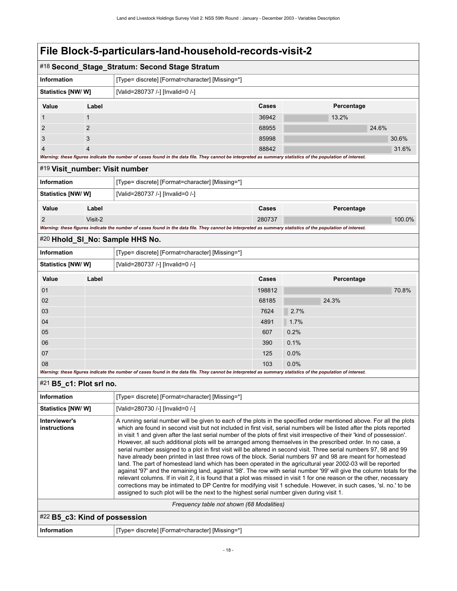<span id="page-21-4"></span><span id="page-21-3"></span><span id="page-21-2"></span><span id="page-21-1"></span><span id="page-21-0"></span>

|                                                                                                                                                                                                                                                                                                                                                                                                                                                                                                                                                                                                                                                                                                                                                                                                                                                                                                                                                                                                                                                                                                                                                                                                              |                | #18 Second_Stage_Stratum: Second Stage Stratum                                                                                                              |                                                                                                                      |            |        |  |
|--------------------------------------------------------------------------------------------------------------------------------------------------------------------------------------------------------------------------------------------------------------------------------------------------------------------------------------------------------------------------------------------------------------------------------------------------------------------------------------------------------------------------------------------------------------------------------------------------------------------------------------------------------------------------------------------------------------------------------------------------------------------------------------------------------------------------------------------------------------------------------------------------------------------------------------------------------------------------------------------------------------------------------------------------------------------------------------------------------------------------------------------------------------------------------------------------------------|----------------|-------------------------------------------------------------------------------------------------------------------------------------------------------------|----------------------------------------------------------------------------------------------------------------------|------------|--------|--|
| <b>Information</b>                                                                                                                                                                                                                                                                                                                                                                                                                                                                                                                                                                                                                                                                                                                                                                                                                                                                                                                                                                                                                                                                                                                                                                                           |                | [Type= discrete] [Format=character] [Missing=*]                                                                                                             |                                                                                                                      |            |        |  |
| Statistics [NW/ W]                                                                                                                                                                                                                                                                                                                                                                                                                                                                                                                                                                                                                                                                                                                                                                                                                                                                                                                                                                                                                                                                                                                                                                                           |                | [Valid=280737 /-] [Invalid=0 /-]                                                                                                                            |                                                                                                                      |            |        |  |
| Value                                                                                                                                                                                                                                                                                                                                                                                                                                                                                                                                                                                                                                                                                                                                                                                                                                                                                                                                                                                                                                                                                                                                                                                                        | Label          |                                                                                                                                                             | Cases                                                                                                                | Percentage |        |  |
|                                                                                                                                                                                                                                                                                                                                                                                                                                                                                                                                                                                                                                                                                                                                                                                                                                                                                                                                                                                                                                                                                                                                                                                                              | $\mathbf{1}$   |                                                                                                                                                             | 36942                                                                                                                | 13.2%      |        |  |
| 2                                                                                                                                                                                                                                                                                                                                                                                                                                                                                                                                                                                                                                                                                                                                                                                                                                                                                                                                                                                                                                                                                                                                                                                                            | $\overline{2}$ |                                                                                                                                                             | 68955                                                                                                                | 24.6%      |        |  |
| 3                                                                                                                                                                                                                                                                                                                                                                                                                                                                                                                                                                                                                                                                                                                                                                                                                                                                                                                                                                                                                                                                                                                                                                                                            | 3              |                                                                                                                                                             | 85998                                                                                                                |            | 30.6%  |  |
| 4                                                                                                                                                                                                                                                                                                                                                                                                                                                                                                                                                                                                                                                                                                                                                                                                                                                                                                                                                                                                                                                                                                                                                                                                            | $\overline{4}$ |                                                                                                                                                             | 88842                                                                                                                |            | 31.6%  |  |
| #19 Visit_number: Visit number                                                                                                                                                                                                                                                                                                                                                                                                                                                                                                                                                                                                                                                                                                                                                                                                                                                                                                                                                                                                                                                                                                                                                                               |                | Warning: these figures indicate the number of cases found in the data file. They cannot be interpreted as summary statistics of the population of interest. |                                                                                                                      |            |        |  |
| <b>Information</b>                                                                                                                                                                                                                                                                                                                                                                                                                                                                                                                                                                                                                                                                                                                                                                                                                                                                                                                                                                                                                                                                                                                                                                                           |                | [Type= discrete] [Format=character] [Missing=*]                                                                                                             |                                                                                                                      |            |        |  |
| Statistics [NW/W]                                                                                                                                                                                                                                                                                                                                                                                                                                                                                                                                                                                                                                                                                                                                                                                                                                                                                                                                                                                                                                                                                                                                                                                            |                | [Valid=280737 /-] [Invalid=0 /-]                                                                                                                            |                                                                                                                      |            |        |  |
|                                                                                                                                                                                                                                                                                                                                                                                                                                                                                                                                                                                                                                                                                                                                                                                                                                                                                                                                                                                                                                                                                                                                                                                                              |                |                                                                                                                                                             |                                                                                                                      |            |        |  |
| Value                                                                                                                                                                                                                                                                                                                                                                                                                                                                                                                                                                                                                                                                                                                                                                                                                                                                                                                                                                                                                                                                                                                                                                                                        | Label          |                                                                                                                                                             | Cases                                                                                                                | Percentage |        |  |
| 2                                                                                                                                                                                                                                                                                                                                                                                                                                                                                                                                                                                                                                                                                                                                                                                                                                                                                                                                                                                                                                                                                                                                                                                                            | Visit-2        | Warning: these figures indicate the number of cases found in the data file. They cannot be interpreted as summary statistics of the population of interest. | 280737                                                                                                               |            | 100.0% |  |
|                                                                                                                                                                                                                                                                                                                                                                                                                                                                                                                                                                                                                                                                                                                                                                                                                                                                                                                                                                                                                                                                                                                                                                                                              |                | #20 Hhold_SI_No: Sample HHS No.                                                                                                                             |                                                                                                                      |            |        |  |
| <b>Information</b>                                                                                                                                                                                                                                                                                                                                                                                                                                                                                                                                                                                                                                                                                                                                                                                                                                                                                                                                                                                                                                                                                                                                                                                           |                | [Type= discrete] [Format=character] [Missing=*]                                                                                                             |                                                                                                                      |            |        |  |
| Statistics [NW/W]                                                                                                                                                                                                                                                                                                                                                                                                                                                                                                                                                                                                                                                                                                                                                                                                                                                                                                                                                                                                                                                                                                                                                                                            |                | [Valid=280737 /-] [Invalid=0 /-]                                                                                                                            |                                                                                                                      |            |        |  |
| Value                                                                                                                                                                                                                                                                                                                                                                                                                                                                                                                                                                                                                                                                                                                                                                                                                                                                                                                                                                                                                                                                                                                                                                                                        | Label          |                                                                                                                                                             | Cases                                                                                                                | Percentage |        |  |
| 01                                                                                                                                                                                                                                                                                                                                                                                                                                                                                                                                                                                                                                                                                                                                                                                                                                                                                                                                                                                                                                                                                                                                                                                                           |                |                                                                                                                                                             | 198812                                                                                                               |            | 70.8%  |  |
| 02                                                                                                                                                                                                                                                                                                                                                                                                                                                                                                                                                                                                                                                                                                                                                                                                                                                                                                                                                                                                                                                                                                                                                                                                           |                |                                                                                                                                                             | 68185                                                                                                                | 24.3%      |        |  |
| 03                                                                                                                                                                                                                                                                                                                                                                                                                                                                                                                                                                                                                                                                                                                                                                                                                                                                                                                                                                                                                                                                                                                                                                                                           |                |                                                                                                                                                             | 7624                                                                                                                 | 2.7%       |        |  |
| 04                                                                                                                                                                                                                                                                                                                                                                                                                                                                                                                                                                                                                                                                                                                                                                                                                                                                                                                                                                                                                                                                                                                                                                                                           |                |                                                                                                                                                             | 4891                                                                                                                 | 1.7%       |        |  |
| 05                                                                                                                                                                                                                                                                                                                                                                                                                                                                                                                                                                                                                                                                                                                                                                                                                                                                                                                                                                                                                                                                                                                                                                                                           |                |                                                                                                                                                             | 607                                                                                                                  | 0.2%       |        |  |
| 06                                                                                                                                                                                                                                                                                                                                                                                                                                                                                                                                                                                                                                                                                                                                                                                                                                                                                                                                                                                                                                                                                                                                                                                                           |                |                                                                                                                                                             | 390                                                                                                                  | 0.1%       |        |  |
| 07                                                                                                                                                                                                                                                                                                                                                                                                                                                                                                                                                                                                                                                                                                                                                                                                                                                                                                                                                                                                                                                                                                                                                                                                           |                |                                                                                                                                                             | 125                                                                                                                  | 0.0%       |        |  |
| 08                                                                                                                                                                                                                                                                                                                                                                                                                                                                                                                                                                                                                                                                                                                                                                                                                                                                                                                                                                                                                                                                                                                                                                                                           |                | Warning: these figures indicate the number of cases found in the data file. They cannot be interpreted as summary statistics of the population of interest. | 103                                                                                                                  | 0.0%       |        |  |
| $#21$ B5_c1: Plot srl no.                                                                                                                                                                                                                                                                                                                                                                                                                                                                                                                                                                                                                                                                                                                                                                                                                                                                                                                                                                                                                                                                                                                                                                                    |                |                                                                                                                                                             |                                                                                                                      |            |        |  |
| Information                                                                                                                                                                                                                                                                                                                                                                                                                                                                                                                                                                                                                                                                                                                                                                                                                                                                                                                                                                                                                                                                                                                                                                                                  |                | [Type= discrete] [Format=character] [Missing=*]                                                                                                             |                                                                                                                      |            |        |  |
| <b>Statistics [NW/W]</b>                                                                                                                                                                                                                                                                                                                                                                                                                                                                                                                                                                                                                                                                                                                                                                                                                                                                                                                                                                                                                                                                                                                                                                                     |                | [Valid=280730 /-] [Invalid=0 /-]                                                                                                                            |                                                                                                                      |            |        |  |
| Interviewer's                                                                                                                                                                                                                                                                                                                                                                                                                                                                                                                                                                                                                                                                                                                                                                                                                                                                                                                                                                                                                                                                                                                                                                                                |                |                                                                                                                                                             | A running serial number will be given to each of the plots in the specified order mentioned above. For all the plots |            |        |  |
| instructions<br>which are found in second visit but not included in first visit, serial numbers will be listed after the plots reported<br>in visit 1 and given after the last serial number of the plots of first visit irrespective of their 'kind of possession'.<br>However, all such additional plots will be arranged among themselves in the prescribed order. In no case, a<br>serial number assigned to a plot in first visit will be altered in second visit. Three serial numbers 97, 98 and 99<br>have already been printed in last three rows of the block. Serial numbers 97 and 98 are meant for homestead<br>land. The part of homestead land which has been operated in the agricultural year 2002-03 will be reported<br>against '97' and the remaining land, against '98'. The row with serial number '99' will give the column totals for the<br>relevant columns. If in visit 2, it is found that a plot was missed in visit 1 for one reason or the other, necessary<br>corrections may be intimated to DP Centre for modifying visit 1 schedule. However, in such cases, 'sl. no.' to be<br>assigned to such plot will be the next to the highest serial number given during visit 1. |                |                                                                                                                                                             |                                                                                                                      |            |        |  |
|                                                                                                                                                                                                                                                                                                                                                                                                                                                                                                                                                                                                                                                                                                                                                                                                                                                                                                                                                                                                                                                                                                                                                                                                              |                | Frequency table not shown (68 Modalities)                                                                                                                   |                                                                                                                      |            |        |  |
| #22 B5_c3: Kind of possession                                                                                                                                                                                                                                                                                                                                                                                                                                                                                                                                                                                                                                                                                                                                                                                                                                                                                                                                                                                                                                                                                                                                                                                |                |                                                                                                                                                             |                                                                                                                      |            |        |  |
| <b>Information</b>                                                                                                                                                                                                                                                                                                                                                                                                                                                                                                                                                                                                                                                                                                                                                                                                                                                                                                                                                                                                                                                                                                                                                                                           |                | [Type= discrete] [Format=character] [Missing=*]                                                                                                             |                                                                                                                      |            |        |  |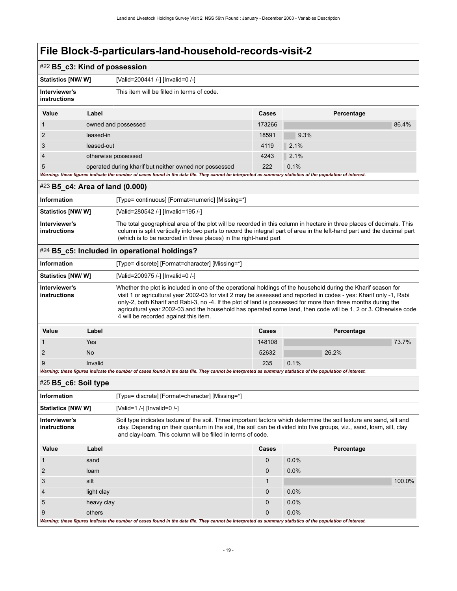<span id="page-22-2"></span><span id="page-22-1"></span><span id="page-22-0"></span>

| #22 B5_c3: Kind of possession                                                                                                                                                                                                                                                                                                                         |                                                                                                                                                             |                                                                                                                                                                                                                                                                                                                                                                                                                                                                                                                  |        |            |        |  |
|-------------------------------------------------------------------------------------------------------------------------------------------------------------------------------------------------------------------------------------------------------------------------------------------------------------------------------------------------------|-------------------------------------------------------------------------------------------------------------------------------------------------------------|------------------------------------------------------------------------------------------------------------------------------------------------------------------------------------------------------------------------------------------------------------------------------------------------------------------------------------------------------------------------------------------------------------------------------------------------------------------------------------------------------------------|--------|------------|--------|--|
| <b>Statistics [NW/ W]</b>                                                                                                                                                                                                                                                                                                                             |                                                                                                                                                             | [Valid=200441 /-] [Invalid=0 /-]                                                                                                                                                                                                                                                                                                                                                                                                                                                                                 |        |            |        |  |
| Interviewer's<br><b>instructions</b>                                                                                                                                                                                                                                                                                                                  |                                                                                                                                                             | This item will be filled in terms of code.                                                                                                                                                                                                                                                                                                                                                                                                                                                                       |        |            |        |  |
| Value                                                                                                                                                                                                                                                                                                                                                 | Label                                                                                                                                                       |                                                                                                                                                                                                                                                                                                                                                                                                                                                                                                                  | Cases  | Percentage |        |  |
| 1                                                                                                                                                                                                                                                                                                                                                     |                                                                                                                                                             | owned and possessed                                                                                                                                                                                                                                                                                                                                                                                                                                                                                              | 173266 |            | 86.4%  |  |
| 2                                                                                                                                                                                                                                                                                                                                                     | leased-in                                                                                                                                                   |                                                                                                                                                                                                                                                                                                                                                                                                                                                                                                                  | 18591  | 9.3%       |        |  |
| 3                                                                                                                                                                                                                                                                                                                                                     | leased-out                                                                                                                                                  |                                                                                                                                                                                                                                                                                                                                                                                                                                                                                                                  | 4119   | 2.1%       |        |  |
| $\overline{4}$                                                                                                                                                                                                                                                                                                                                        |                                                                                                                                                             | otherwise possessed                                                                                                                                                                                                                                                                                                                                                                                                                                                                                              | 4243   | 2.1%       |        |  |
| 5                                                                                                                                                                                                                                                                                                                                                     |                                                                                                                                                             | operated during kharif but neither owned nor possessed                                                                                                                                                                                                                                                                                                                                                                                                                                                           | 222    | 0.1%       |        |  |
|                                                                                                                                                                                                                                                                                                                                                       |                                                                                                                                                             | Warning: these figures indicate the number of cases found in the data file. They cannot be interpreted as summary statistics of the population of interest.                                                                                                                                                                                                                                                                                                                                                      |        |            |        |  |
| #23 B5_c4: Area of land (0.000)                                                                                                                                                                                                                                                                                                                       |                                                                                                                                                             |                                                                                                                                                                                                                                                                                                                                                                                                                                                                                                                  |        |            |        |  |
| <b>Information</b>                                                                                                                                                                                                                                                                                                                                    |                                                                                                                                                             | [Type= continuous] [Format=numeric] [Missing=*]                                                                                                                                                                                                                                                                                                                                                                                                                                                                  |        |            |        |  |
| Statistics [NW/ W]                                                                                                                                                                                                                                                                                                                                    |                                                                                                                                                             | [Valid=280542 /-] [Invalid=195 /-]                                                                                                                                                                                                                                                                                                                                                                                                                                                                               |        |            |        |  |
| Interviewer's<br>The total geographical area of the plot will be recorded in this column in hectare in three places of decimals. This<br>instructions<br>column is split vertically into two parts to record the integral part of area in the left-hand part and the decimal part<br>(which is to be recorded in three places) in the right-hand part |                                                                                                                                                             |                                                                                                                                                                                                                                                                                                                                                                                                                                                                                                                  |        |            |        |  |
|                                                                                                                                                                                                                                                                                                                                                       |                                                                                                                                                             | #24 B5_c5: Included in operational holdings?                                                                                                                                                                                                                                                                                                                                                                                                                                                                     |        |            |        |  |
| <b>Information</b>                                                                                                                                                                                                                                                                                                                                    |                                                                                                                                                             | [Type= discrete] [Format=character] [Missing=*]                                                                                                                                                                                                                                                                                                                                                                                                                                                                  |        |            |        |  |
| <b>Statistics [NW/ W]</b>                                                                                                                                                                                                                                                                                                                             |                                                                                                                                                             | [Valid=200975 /-] [Invalid=0 /-]                                                                                                                                                                                                                                                                                                                                                                                                                                                                                 |        |            |        |  |
| Interviewer's<br><b>instructions</b>                                                                                                                                                                                                                                                                                                                  |                                                                                                                                                             | Whether the plot is included in one of the operational holdings of the household during the Kharif season for<br>visit 1 or agricultural year 2002-03 for visit 2 may be assessed and reported in codes - yes: Kharif only -1, Rabi<br>only-2, both Kharif and Rabi-3, no -4. If the plot of land is possessed for more than three months during the<br>agricultural year 2002-03 and the household has operated some land, then code will be 1, 2 or 3. Otherwise code<br>4 will be recorded against this item. |        |            |        |  |
| Value                                                                                                                                                                                                                                                                                                                                                 | Label                                                                                                                                                       |                                                                                                                                                                                                                                                                                                                                                                                                                                                                                                                  | Cases  | Percentage |        |  |
| 1                                                                                                                                                                                                                                                                                                                                                     | Yes                                                                                                                                                         |                                                                                                                                                                                                                                                                                                                                                                                                                                                                                                                  | 148108 |            | 73.7%  |  |
| $\overline{c}$                                                                                                                                                                                                                                                                                                                                        | No                                                                                                                                                          |                                                                                                                                                                                                                                                                                                                                                                                                                                                                                                                  | 52632  | 26.2%      |        |  |
| 9                                                                                                                                                                                                                                                                                                                                                     | Invalid                                                                                                                                                     |                                                                                                                                                                                                                                                                                                                                                                                                                                                                                                                  | 235    | 0.1%       |        |  |
|                                                                                                                                                                                                                                                                                                                                                       |                                                                                                                                                             | Warning: these figures indicate the number of cases found in the data file. They cannot be interpreted as summary statistics of the population of interest.                                                                                                                                                                                                                                                                                                                                                      |        |            |        |  |
| $#25$ B5_c6: Soil type                                                                                                                                                                                                                                                                                                                                |                                                                                                                                                             |                                                                                                                                                                                                                                                                                                                                                                                                                                                                                                                  |        |            |        |  |
| Information                                                                                                                                                                                                                                                                                                                                           |                                                                                                                                                             | [Type= discrete] [Format=character] [Missing=*]                                                                                                                                                                                                                                                                                                                                                                                                                                                                  |        |            |        |  |
| Statistics [NW/W]                                                                                                                                                                                                                                                                                                                                     |                                                                                                                                                             | [Valid=1 /-] [Invalid=0 /-]                                                                                                                                                                                                                                                                                                                                                                                                                                                                                      |        |            |        |  |
| Interviewer's<br>Soil type indicates texture of the soil. Three important factors which determine the soil texture are sand, silt and<br><b>instructions</b><br>clay. Depending on their quantum in the soil, the soil can be divided into five groups, viz., sand, loam, silt, clay<br>and clay-loam. This column will be filled in terms of code.   |                                                                                                                                                             |                                                                                                                                                                                                                                                                                                                                                                                                                                                                                                                  |        |            |        |  |
| Value                                                                                                                                                                                                                                                                                                                                                 | Label                                                                                                                                                       |                                                                                                                                                                                                                                                                                                                                                                                                                                                                                                                  | Cases  | Percentage |        |  |
| $\mathbf{1}$                                                                                                                                                                                                                                                                                                                                          | sand                                                                                                                                                        |                                                                                                                                                                                                                                                                                                                                                                                                                                                                                                                  | 0      | 0.0%       |        |  |
| $\overline{c}$                                                                                                                                                                                                                                                                                                                                        | loam                                                                                                                                                        |                                                                                                                                                                                                                                                                                                                                                                                                                                                                                                                  | 0      | 0.0%       |        |  |
| 3                                                                                                                                                                                                                                                                                                                                                     | silt                                                                                                                                                        |                                                                                                                                                                                                                                                                                                                                                                                                                                                                                                                  | 1      |            | 100.0% |  |
| 4                                                                                                                                                                                                                                                                                                                                                     | light clay                                                                                                                                                  |                                                                                                                                                                                                                                                                                                                                                                                                                                                                                                                  | 0      | 0.0%       |        |  |
| 5                                                                                                                                                                                                                                                                                                                                                     | heavy clay                                                                                                                                                  |                                                                                                                                                                                                                                                                                                                                                                                                                                                                                                                  | 0      | 0.0%       |        |  |
| 9                                                                                                                                                                                                                                                                                                                                                     | others                                                                                                                                                      |                                                                                                                                                                                                                                                                                                                                                                                                                                                                                                                  | 0      | 0.0%       |        |  |
|                                                                                                                                                                                                                                                                                                                                                       | Warning: these figures indicate the number of cases found in the data file. They cannot be interpreted as summary statistics of the population of interest. |                                                                                                                                                                                                                                                                                                                                                                                                                                                                                                                  |        |            |        |  |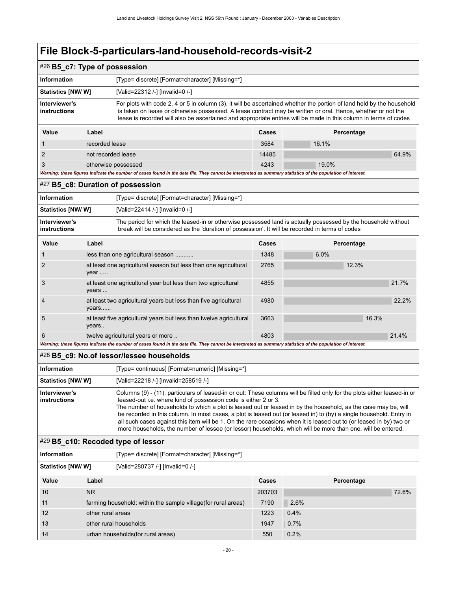<span id="page-23-1"></span><span id="page-23-0"></span>

| #26 B5_c7: Type of possession                                                                                                                                                                                                                                                                                                                                                                                                                                                                                                                                                                                                                                                                               |                    |                                                                                                                                                                                                                                                                                                                                                           |        |            |       |  |
|-------------------------------------------------------------------------------------------------------------------------------------------------------------------------------------------------------------------------------------------------------------------------------------------------------------------------------------------------------------------------------------------------------------------------------------------------------------------------------------------------------------------------------------------------------------------------------------------------------------------------------------------------------------------------------------------------------------|--------------------|-----------------------------------------------------------------------------------------------------------------------------------------------------------------------------------------------------------------------------------------------------------------------------------------------------------------------------------------------------------|--------|------------|-------|--|
| <b>Information</b><br>[Type= discrete] [Format=character] [Missing=*]                                                                                                                                                                                                                                                                                                                                                                                                                                                                                                                                                                                                                                       |                    |                                                                                                                                                                                                                                                                                                                                                           |        |            |       |  |
| Statistics [NW/W]                                                                                                                                                                                                                                                                                                                                                                                                                                                                                                                                                                                                                                                                                           |                    | [Valid=22312 /-] [Invalid=0 /-]                                                                                                                                                                                                                                                                                                                           |        |            |       |  |
| Interviewer's<br>instructions                                                                                                                                                                                                                                                                                                                                                                                                                                                                                                                                                                                                                                                                               |                    | For plots with code 2, 4 or 5 in column (3), it will be ascertained whether the portion of land held by the household<br>is taken on lease or otherwise possessed. A lease contract may be written or oral. Hence, whether or not the<br>lease is recorded will also be ascertained and appropriate entries will be made in this column in terms of codes |        |            |       |  |
| Value                                                                                                                                                                                                                                                                                                                                                                                                                                                                                                                                                                                                                                                                                                       | Label              |                                                                                                                                                                                                                                                                                                                                                           | Cases  | Percentage |       |  |
|                                                                                                                                                                                                                                                                                                                                                                                                                                                                                                                                                                                                                                                                                                             | recorded lease     |                                                                                                                                                                                                                                                                                                                                                           | 3584   | 16.1%      |       |  |
| 2                                                                                                                                                                                                                                                                                                                                                                                                                                                                                                                                                                                                                                                                                                           | not recorded lease |                                                                                                                                                                                                                                                                                                                                                           | 14485  |            | 64.9% |  |
| 3                                                                                                                                                                                                                                                                                                                                                                                                                                                                                                                                                                                                                                                                                                           |                    | otherwise possessed                                                                                                                                                                                                                                                                                                                                       | 4243   | 19.0%      |       |  |
|                                                                                                                                                                                                                                                                                                                                                                                                                                                                                                                                                                                                                                                                                                             |                    | Warning: these figures indicate the number of cases found in the data file. They cannot be interpreted as summary statistics of the population of interest.                                                                                                                                                                                               |        |            |       |  |
|                                                                                                                                                                                                                                                                                                                                                                                                                                                                                                                                                                                                                                                                                                             |                    | #27 B5_c8: Duration of possession                                                                                                                                                                                                                                                                                                                         |        |            |       |  |
| Information                                                                                                                                                                                                                                                                                                                                                                                                                                                                                                                                                                                                                                                                                                 |                    | [Type= discrete] [Format=character] [Missing=*]                                                                                                                                                                                                                                                                                                           |        |            |       |  |
| Statistics [NW/W]                                                                                                                                                                                                                                                                                                                                                                                                                                                                                                                                                                                                                                                                                           |                    | [Valid=22414 /-] [Invalid=0 /-]                                                                                                                                                                                                                                                                                                                           |        |            |       |  |
| Interviewer's<br>instructions                                                                                                                                                                                                                                                                                                                                                                                                                                                                                                                                                                                                                                                                               |                    | The period for which the leased-in or otherwise possessed land is actually possessed by the household without<br>break will be considered as the 'duration of possession'. It will be recorded in terms of codes                                                                                                                                          |        |            |       |  |
| Value                                                                                                                                                                                                                                                                                                                                                                                                                                                                                                                                                                                                                                                                                                       | Label              |                                                                                                                                                                                                                                                                                                                                                           | Cases  | Percentage |       |  |
|                                                                                                                                                                                                                                                                                                                                                                                                                                                                                                                                                                                                                                                                                                             |                    | less than one agricultural season                                                                                                                                                                                                                                                                                                                         | 1348   | 6.0%       |       |  |
| 2                                                                                                                                                                                                                                                                                                                                                                                                                                                                                                                                                                                                                                                                                                           | year               | at least one agricultural season but less than one agricultural                                                                                                                                                                                                                                                                                           | 2765   | 12.3%      |       |  |
| 3                                                                                                                                                                                                                                                                                                                                                                                                                                                                                                                                                                                                                                                                                                           | years              | at least one agricultural year but less than two agricultural                                                                                                                                                                                                                                                                                             | 4855   |            | 21.7% |  |
| 4                                                                                                                                                                                                                                                                                                                                                                                                                                                                                                                                                                                                                                                                                                           | years              | at least two agricultural years but less than five agricultural                                                                                                                                                                                                                                                                                           |        |            | 22.2% |  |
| 5                                                                                                                                                                                                                                                                                                                                                                                                                                                                                                                                                                                                                                                                                                           | years              | at least five agricultural years but less than twelve agricultural                                                                                                                                                                                                                                                                                        | 3663   | 16.3%      |       |  |
| 6                                                                                                                                                                                                                                                                                                                                                                                                                                                                                                                                                                                                                                                                                                           |                    | twelve agricultural years or more                                                                                                                                                                                                                                                                                                                         | 4803   |            | 21.4% |  |
|                                                                                                                                                                                                                                                                                                                                                                                                                                                                                                                                                                                                                                                                                                             |                    | Warning: these figures indicate the number of cases found in the data file. They cannot be interpreted as summary statistics of the population of interest.                                                                                                                                                                                               |        |            |       |  |
|                                                                                                                                                                                                                                                                                                                                                                                                                                                                                                                                                                                                                                                                                                             |                    | #28 B5_c9: No.of lessor/lessee households                                                                                                                                                                                                                                                                                                                 |        |            |       |  |
| Information                                                                                                                                                                                                                                                                                                                                                                                                                                                                                                                                                                                                                                                                                                 |                    | [Type= continuous] [Format=numeric] [Missing=*]                                                                                                                                                                                                                                                                                                           |        |            |       |  |
| Statistics [NW/W]                                                                                                                                                                                                                                                                                                                                                                                                                                                                                                                                                                                                                                                                                           |                    | [Valid=22218 /-] [Invalid=258519 /-]                                                                                                                                                                                                                                                                                                                      |        |            |       |  |
| Interviewer's<br>Columns (9) - (11): particulars of leased-in or out: These columns will be filled only for the plots either leased-in or<br>instructions<br>leased-out i.e. where kind of possession code is either 2 or 3.<br>The number of households to which a plot is leased out or leased in by the household, as the case may be, will<br>be recorded in this column. In most cases, a plot is leased out (or leased in) to (by) a single household. Entry in<br>all such cases against this item will be 1. On the rare occasions when it is leased out to (or leased in by) two or<br>more households, the number of lessee (or lessor) households, which will be more than one, will be entered. |                    |                                                                                                                                                                                                                                                                                                                                                           |        |            |       |  |
|                                                                                                                                                                                                                                                                                                                                                                                                                                                                                                                                                                                                                                                                                                             |                    | #29 B5_c10: Recoded type of lessor                                                                                                                                                                                                                                                                                                                        |        |            |       |  |
| Information                                                                                                                                                                                                                                                                                                                                                                                                                                                                                                                                                                                                                                                                                                 |                    | [Type= discrete] [Format=character] [Missing=*]                                                                                                                                                                                                                                                                                                           |        |            |       |  |
| Statistics [NW/W]                                                                                                                                                                                                                                                                                                                                                                                                                                                                                                                                                                                                                                                                                           |                    | [Valid=280737 /-] [Invalid=0 /-]                                                                                                                                                                                                                                                                                                                          |        |            |       |  |
| Value                                                                                                                                                                                                                                                                                                                                                                                                                                                                                                                                                                                                                                                                                                       | Label              |                                                                                                                                                                                                                                                                                                                                                           | Cases  | Percentage |       |  |
| 10                                                                                                                                                                                                                                                                                                                                                                                                                                                                                                                                                                                                                                                                                                          | <b>NR</b>          |                                                                                                                                                                                                                                                                                                                                                           | 203703 |            | 72.6% |  |
| 11                                                                                                                                                                                                                                                                                                                                                                                                                                                                                                                                                                                                                                                                                                          |                    | farming household: within the sample village(for rural areas)                                                                                                                                                                                                                                                                                             | 7190   | 2.6%       |       |  |
| 12                                                                                                                                                                                                                                                                                                                                                                                                                                                                                                                                                                                                                                                                                                          | other rural areas  |                                                                                                                                                                                                                                                                                                                                                           | 1223   | 0.4%       |       |  |
| 13                                                                                                                                                                                                                                                                                                                                                                                                                                                                                                                                                                                                                                                                                                          |                    | other rural households                                                                                                                                                                                                                                                                                                                                    | 1947   | 0.7%       |       |  |

<span id="page-23-3"></span><span id="page-23-2"></span>14 urban households(for rural areas) 550 0.2%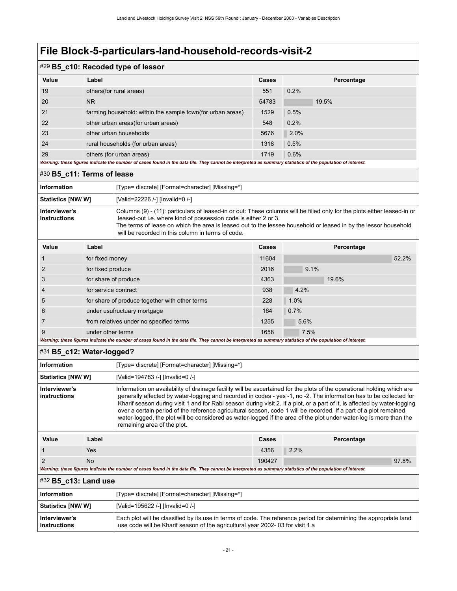### #29 **B5\_c10: Recoded type of lessor**

|       | . .                                                                                                                                                         |       |            |
|-------|-------------------------------------------------------------------------------------------------------------------------------------------------------------|-------|------------|
| Value | Label                                                                                                                                                       | Cases | Percentage |
| 19    | others (for rural areas)                                                                                                                                    | 551   | 0.2%       |
| 20    | N <sub>R</sub>                                                                                                                                              | 54783 | 19.5%      |
| 21    | farming household: within the sample town (for urban areas)                                                                                                 | 1529  | 0.5%       |
| 22    | other urban areas(for urban areas)                                                                                                                          | 548   | 0.2%       |
| 23    | other urban households                                                                                                                                      | 5676  | 2.0%       |
| 24    | rural households (for urban areas)                                                                                                                          | 1318  | 0.5%       |
| 29    | others (for urban areas)                                                                                                                                    | 1719  | 0.6%       |
|       | Warning: these figures indicate the number of cases found in the data file. They cannot be interpreted as summary statistics of the population of interest. |       |            |

#### <span id="page-24-0"></span>#30 **B5\_c11: Terms of lease**

| <b>Information</b>            | [Type= discrete] [Format=character] [Missing=*]                                                                                                                                                                                                                                                                                                                     |
|-------------------------------|---------------------------------------------------------------------------------------------------------------------------------------------------------------------------------------------------------------------------------------------------------------------------------------------------------------------------------------------------------------------|
| Statistics [NW/ W]            | [Valid=22226 /-] [Invalid=0 /-]                                                                                                                                                                                                                                                                                                                                     |
| Interviewer's<br>instructions | Columns (9) - (11): particulars of leased-in or out: These columns will be filled only for the plots either leased-in or<br>leased-out i.e. where kind of possession code is either 2 or 3.<br>The terms of lease on which the area is leased out to the lessee household or leased in by the lessor household<br>will be recorded in this column in terms of code. |

| Value          | Label                                          | Cases | Percentage |
|----------------|------------------------------------------------|-------|------------|
|                | for fixed money                                | 11604 | 52.2%      |
| 2              | for fixed produce                              | 2016  | 9.1%       |
| 3              | for share of produce                           | 4363  | 19.6%      |
| $\overline{4}$ | for service contract                           | 938   | 4.2%       |
| 5              | for share of produce together with other terms | 228   | 1.0%       |
| 6              | under usufructuary mortgage                    | 164   | 0.7%       |
|                | from relatives under no specified terms        | 1255  | 5.6%       |
| 9              | under other terms                              | 1658  | 7.5%       |

#### *Warning: these figures indicate the number of cases found in the data file. They cannot be interpreted as summary statistics of the population of interest.*

#### <span id="page-24-1"></span>#31 **B5\_c12: Water-logged?**

| Information                   |       | [Type= discrete] [Format=character] [Missing=*]                                                                                                                                                                                                                                                                                                                                                                                                                                                                                                                                                                                                      |       |            |
|-------------------------------|-------|------------------------------------------------------------------------------------------------------------------------------------------------------------------------------------------------------------------------------------------------------------------------------------------------------------------------------------------------------------------------------------------------------------------------------------------------------------------------------------------------------------------------------------------------------------------------------------------------------------------------------------------------------|-------|------------|
| Statistics [NW/ W]            |       | [Valid=194783 /-] [Invalid=0 /-]                                                                                                                                                                                                                                                                                                                                                                                                                                                                                                                                                                                                                     |       |            |
| Interviewer's<br>instructions |       | Information on availability of drainage facility will be ascertained for the plots of the operational holding which are<br>generally affected by water-logging and recorded in codes - yes -1, no -2. The information has to be collected for<br>Kharif season during visit 1 and for Rabi season during visit 2. If a plot, or a part of it, is affected by water-logging<br>over a certain period of the reference agricultural season, code 1 will be recorded. If a part of a plot remained<br>water-logged, the plot will be considered as water-logged if the area of the plot under water-log is more than the<br>remaining area of the plot. |       |            |
| Value                         | Label |                                                                                                                                                                                                                                                                                                                                                                                                                                                                                                                                                                                                                                                      | Cases | Percentage |

| <br>---- | $-$    | .    |       |
|----------|--------|------|-------|
| Yes      | 4356   | 2.2% |       |
| No       | 190427 |      | 97.8% |

*Warning: these figures indicate the number of cases found in the data file. They cannot be interpreted as summary statistics of the population of interest.*

#### <span id="page-24-2"></span>#32 **B5\_c13: Land use**

| Information                   | [Type= discrete] [Format=character] [Missing=*]                                                                                                                                                      |
|-------------------------------|------------------------------------------------------------------------------------------------------------------------------------------------------------------------------------------------------|
| Statistics [NW/ W]            | [Valid=195622 /-] [Invalid=0 /-]                                                                                                                                                                     |
| Interviewer's<br>instructions | Each plot will be classified by its use in terms of code. The reference period for determining the appropriate land<br>use code will be Kharif season of the agricultural year 2002-03 for visit 1 a |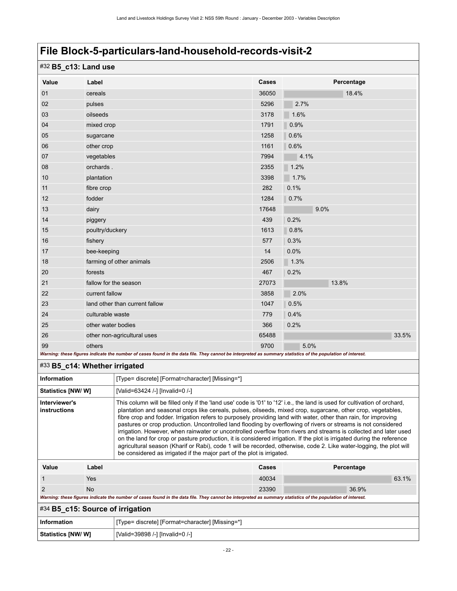## #32 **B5\_c13: Land use**

| Value                                                                                                                                                       | Label                          | Cases | Percentage |  |
|-------------------------------------------------------------------------------------------------------------------------------------------------------------|--------------------------------|-------|------------|--|
| 01                                                                                                                                                          | cereals                        | 36050 | 18.4%      |  |
| 02                                                                                                                                                          | pulses                         | 5296  | 2.7%       |  |
| 03                                                                                                                                                          | oilseeds                       | 3178  | 1.6%       |  |
| 04                                                                                                                                                          | mixed crop                     | 1791  | 0.9%       |  |
| 05                                                                                                                                                          | sugarcane                      | 1258  | 0.6%       |  |
| 06                                                                                                                                                          | other crop                     | 1161  | 0.6%       |  |
| 07                                                                                                                                                          | vegetables                     | 7994  | 4.1%       |  |
| 08                                                                                                                                                          | orchards.                      | 2355  | 1.2%       |  |
| 10                                                                                                                                                          | plantation                     | 3398  | 1.7%       |  |
| 11                                                                                                                                                          | fibre crop                     | 282   | 0.1%       |  |
| 12                                                                                                                                                          | fodder                         | 1284  | 0.7%       |  |
| 13                                                                                                                                                          | dairy                          | 17648 | 9.0%       |  |
| 14                                                                                                                                                          | piggery                        | 439   | 0.2%       |  |
| 15                                                                                                                                                          | poultry/duckery                | 1613  | 0.8%       |  |
| 16                                                                                                                                                          | fishery                        | 577   | 0.3%       |  |
| 17                                                                                                                                                          | bee-keeping                    | 14    | 0.0%       |  |
| 18                                                                                                                                                          | farming of other animals       | 2506  | 1.3%       |  |
| 20                                                                                                                                                          | forests                        | 467   | 0.2%       |  |
| 21                                                                                                                                                          | fallow for the season          | 27073 | 13.8%      |  |
| 22                                                                                                                                                          | current fallow                 | 3858  | 2.0%       |  |
| 23                                                                                                                                                          | land other than current fallow | 1047  | 0.5%       |  |
| 24                                                                                                                                                          | culturable waste               | 779   | 0.4%       |  |
| 25                                                                                                                                                          | other water bodies             | 366   | 0.2%       |  |
| 26                                                                                                                                                          | other non-agricultural uses    | 65488 | 33.5%      |  |
| 99                                                                                                                                                          | others                         | 9700  | 5.0%       |  |
| Warning: these figures indicate the number of cases found in the data file. They cannot be interpreted as summary statistics of the population of interest. |                                |       |            |  |

#### <span id="page-25-0"></span>#33 **B5\_c14: Whether irrigated**

| <b>Information</b>            |            | [Type= discrete] [Format=character] [Missing=*]                                                                                                                                                                                                                                                                                                                                                                                                                                                                                                                                                                                                                                                                                                                                                                                                                                                                              |       |            |
|-------------------------------|------------|------------------------------------------------------------------------------------------------------------------------------------------------------------------------------------------------------------------------------------------------------------------------------------------------------------------------------------------------------------------------------------------------------------------------------------------------------------------------------------------------------------------------------------------------------------------------------------------------------------------------------------------------------------------------------------------------------------------------------------------------------------------------------------------------------------------------------------------------------------------------------------------------------------------------------|-------|------------|
| Statistics [NW/ W]            |            | [Valid=63424 /-] [Invalid=0 /-]                                                                                                                                                                                                                                                                                                                                                                                                                                                                                                                                                                                                                                                                                                                                                                                                                                                                                              |       |            |
| Interviewer's<br>instructions |            | This column will be filled only if the 'land use' code is '01' to '12' i.e., the land is used for cultivation of orchard,<br>plantation and seasonal crops like cereals, pulses, oilseeds, mixed crop, sugarcane, other crop, vegetables,<br>fibre crop and fodder. Irrigation refers to purposely providing land with water, other than rain, for improving<br>pastures or crop production. Uncontrolled land flooding by overflowing of rivers or streams is not considered<br>irrigation. However, when rainwater or uncontrolled overflow from rivers and streams is collected and later used<br>on the land for crop or pasture production, it is considered irrigation. If the plot is irrigated during the reference<br>agricultural season (Kharif or Rabi), code 1 will be recorded, otherwise, code 2. Like water-logging, the plot will<br>be considered as irrigated if the major part of the plot is irrigated. |       |            |
| Value                         | Label      |                                                                                                                                                                                                                                                                                                                                                                                                                                                                                                                                                                                                                                                                                                                                                                                                                                                                                                                              | Cases | Percentage |
|                               | <b>Yes</b> |                                                                                                                                                                                                                                                                                                                                                                                                                                                                                                                                                                                                                                                                                                                                                                                                                                                                                                                              | 40034 | 63.1%      |
|                               | <b>No</b>  |                                                                                                                                                                                                                                                                                                                                                                                                                                                                                                                                                                                                                                                                                                                                                                                                                                                                                                                              | 23390 | 36.9%      |

*Warning: these figures indicate the number of cases found in the data file. They cannot be interpreted as summary statistics of the population of interest.*

## <span id="page-25-1"></span>#34 **B5\_c15: Source of irrigation**

| ∣ Information      | [Type= discrete] [Format=character] [Missing=*] |
|--------------------|-------------------------------------------------|
| Statistics [NW/ W] | [Valid=39898 /-] [Invalid=0 /-]                 |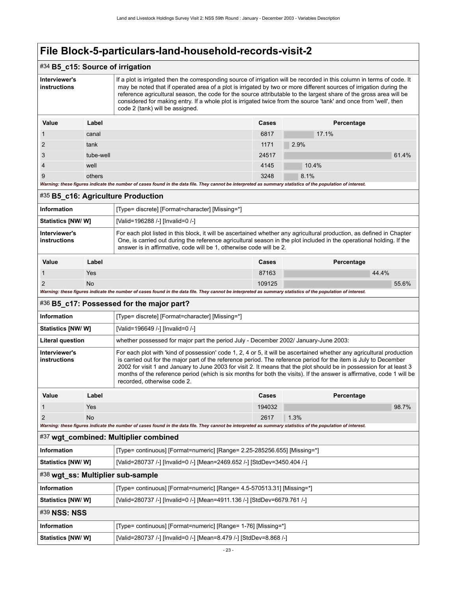<span id="page-26-0"></span>

| #34 B5_c15: Source of irrigation |                                                                                                                                                                                                                                                                                                                                                                                                                                                                                                                              |                                                                                                                                                                                                                                                                                                                                                                                                                                                                                                                            |        |            |
|----------------------------------|------------------------------------------------------------------------------------------------------------------------------------------------------------------------------------------------------------------------------------------------------------------------------------------------------------------------------------------------------------------------------------------------------------------------------------------------------------------------------------------------------------------------------|----------------------------------------------------------------------------------------------------------------------------------------------------------------------------------------------------------------------------------------------------------------------------------------------------------------------------------------------------------------------------------------------------------------------------------------------------------------------------------------------------------------------------|--------|------------|
| Interviewer's<br>instructions    | If a plot is irrigated then the corresponding source of irrigation will be recorded in this column in terms of code. It<br>may be noted that if operated area of a plot is irrigated by two or more different sources of irrigation during the<br>reference agricultural season, the code for the source attributable to the largest share of the gross area will be<br>considered for making entry. If a whole plot is irrigated twice from the source 'tank' and once from 'well', then<br>code 2 (tank) will be assigned. |                                                                                                                                                                                                                                                                                                                                                                                                                                                                                                                            |        |            |
| Value                            | Label                                                                                                                                                                                                                                                                                                                                                                                                                                                                                                                        | Cases<br>Percentage                                                                                                                                                                                                                                                                                                                                                                                                                                                                                                        |        |            |
| 1                                | canal                                                                                                                                                                                                                                                                                                                                                                                                                                                                                                                        |                                                                                                                                                                                                                                                                                                                                                                                                                                                                                                                            | 6817   | 17.1%      |
| $\overline{2}$                   | tank                                                                                                                                                                                                                                                                                                                                                                                                                                                                                                                         |                                                                                                                                                                                                                                                                                                                                                                                                                                                                                                                            | 1171   | 2.9%       |
| 3                                | tube-well                                                                                                                                                                                                                                                                                                                                                                                                                                                                                                                    |                                                                                                                                                                                                                                                                                                                                                                                                                                                                                                                            | 24517  | 61.4%      |
| $\overline{4}$                   | well                                                                                                                                                                                                                                                                                                                                                                                                                                                                                                                         |                                                                                                                                                                                                                                                                                                                                                                                                                                                                                                                            | 4145   | 10.4%      |
| 9                                | others                                                                                                                                                                                                                                                                                                                                                                                                                                                                                                                       |                                                                                                                                                                                                                                                                                                                                                                                                                                                                                                                            | 3248   | 8.1%       |
|                                  |                                                                                                                                                                                                                                                                                                                                                                                                                                                                                                                              | Warning: these figures indicate the number of cases found in the data file. They cannot be interpreted as summary statistics of the population of interest.                                                                                                                                                                                                                                                                                                                                                                |        |            |
|                                  |                                                                                                                                                                                                                                                                                                                                                                                                                                                                                                                              | #35 B5_c16: Agriculture Production                                                                                                                                                                                                                                                                                                                                                                                                                                                                                         |        |            |
| <b>Information</b>               |                                                                                                                                                                                                                                                                                                                                                                                                                                                                                                                              | [Type= discrete] [Format=character] [Missing=*]                                                                                                                                                                                                                                                                                                                                                                                                                                                                            |        |            |
| <b>Statistics [NW/ W]</b>        |                                                                                                                                                                                                                                                                                                                                                                                                                                                                                                                              | [Valid=196288 /-] [Invalid=0 /-]                                                                                                                                                                                                                                                                                                                                                                                                                                                                                           |        |            |
| Interviewer's<br>instructions    | For each plot listed in this block, it will be ascertained whether any agricultural production, as defined in Chapter<br>One, is carried out during the reference agricultural season in the plot included in the operational holding. If the<br>answer is in affirmative, code will be 1, otherwise code will be 2.                                                                                                                                                                                                         |                                                                                                                                                                                                                                                                                                                                                                                                                                                                                                                            |        |            |
|                                  | Label<br>Cases<br>Percentage                                                                                                                                                                                                                                                                                                                                                                                                                                                                                                 |                                                                                                                                                                                                                                                                                                                                                                                                                                                                                                                            |        |            |
| Value                            |                                                                                                                                                                                                                                                                                                                                                                                                                                                                                                                              |                                                                                                                                                                                                                                                                                                                                                                                                                                                                                                                            |        |            |
| 1                                | Yes                                                                                                                                                                                                                                                                                                                                                                                                                                                                                                                          |                                                                                                                                                                                                                                                                                                                                                                                                                                                                                                                            | 87163  | 44.4%      |
| 2                                | <b>No</b>                                                                                                                                                                                                                                                                                                                                                                                                                                                                                                                    |                                                                                                                                                                                                                                                                                                                                                                                                                                                                                                                            | 109125 | 55.6%      |
|                                  |                                                                                                                                                                                                                                                                                                                                                                                                                                                                                                                              | Warning: these figures indicate the number of cases found in the data file. They cannot be interpreted as summary statistics of the population of interest.                                                                                                                                                                                                                                                                                                                                                                |        |            |
|                                  |                                                                                                                                                                                                                                                                                                                                                                                                                                                                                                                              | #36 B5_c17: Possessed for the major part?                                                                                                                                                                                                                                                                                                                                                                                                                                                                                  |        |            |
| <b>Information</b>               |                                                                                                                                                                                                                                                                                                                                                                                                                                                                                                                              | [Type= discrete] [Format=character] [Missing=*]                                                                                                                                                                                                                                                                                                                                                                                                                                                                            |        |            |
| <b>Statistics [NW/ W]</b>        |                                                                                                                                                                                                                                                                                                                                                                                                                                                                                                                              | [Valid=196649 /-] [Invalid=0 /-]                                                                                                                                                                                                                                                                                                                                                                                                                                                                                           |        |            |
| <b>Literal question</b>          |                                                                                                                                                                                                                                                                                                                                                                                                                                                                                                                              | whether possessed for major part the period July - December 2002/ January-June 2003:                                                                                                                                                                                                                                                                                                                                                                                                                                       |        |            |
| Interviewer's<br>instructions    |                                                                                                                                                                                                                                                                                                                                                                                                                                                                                                                              | For each plot with 'kind of possession' code 1, 2, 4 or 5, it will be ascertained whether any agricultural production<br>is carried out for the major part of the reference period. The reference period for the item is July to December<br>2002 for visit 1 and January to June 2003 for visit 2. It means that the plot should be in possession for at least 3<br>months of the reference period (which is six months for both the visits). If the answer is affirmative, code 1 will be<br>recorded, otherwise code 2. |        |            |
| Value                            | Label                                                                                                                                                                                                                                                                                                                                                                                                                                                                                                                        |                                                                                                                                                                                                                                                                                                                                                                                                                                                                                                                            | Cases  | Percentage |
| $\mathbf{1}$                     | Yes                                                                                                                                                                                                                                                                                                                                                                                                                                                                                                                          |                                                                                                                                                                                                                                                                                                                                                                                                                                                                                                                            | 194032 | 98.7%      |
| $\overline{2}$                   | <b>No</b>                                                                                                                                                                                                                                                                                                                                                                                                                                                                                                                    |                                                                                                                                                                                                                                                                                                                                                                                                                                                                                                                            | 2617   | 1.3%       |
|                                  |                                                                                                                                                                                                                                                                                                                                                                                                                                                                                                                              | Warning: these figures indicate the number of cases found in the data file. They cannot be interpreted as summary statistics of the population of interest.                                                                                                                                                                                                                                                                                                                                                                |        |            |
|                                  |                                                                                                                                                                                                                                                                                                                                                                                                                                                                                                                              | #37 wgt combined: Multiplier combined                                                                                                                                                                                                                                                                                                                                                                                                                                                                                      |        |            |

<span id="page-26-4"></span><span id="page-26-3"></span><span id="page-26-2"></span><span id="page-26-1"></span>

| <b>Statistics [NW/W]</b>          | [Valid=280737 /-] [Invalid=0 /-] [Mean=2469.652 /-] [StdDev=3450.404 /-] |  |
|-----------------------------------|--------------------------------------------------------------------------|--|
| #38 wgt_ss: Multiplier sub-sample |                                                                          |  |
| <b>Information</b>                | [Type= continuous] [Format=numeric] [Range= 4.5-570513.31] [Missing=*]   |  |
| <b>Statistics [NW/W]</b>          | [Valid=280737 /-] [Invalid=0 /-] [Mean=4911.136 /-] [StdDev=6679.761 /-] |  |
| #39 NSS: NSS                      |                                                                          |  |
| <b>Information</b>                | [Type= continuous] [Format=numeric] [Range= 1-76] [Missing=*]            |  |
| <b>Statistics [NW/ W]</b>         | [Valid=280737 /-] [Invalid=0 /-] [Mean=8.479 /-] [StdDev=8.868 /-]       |  |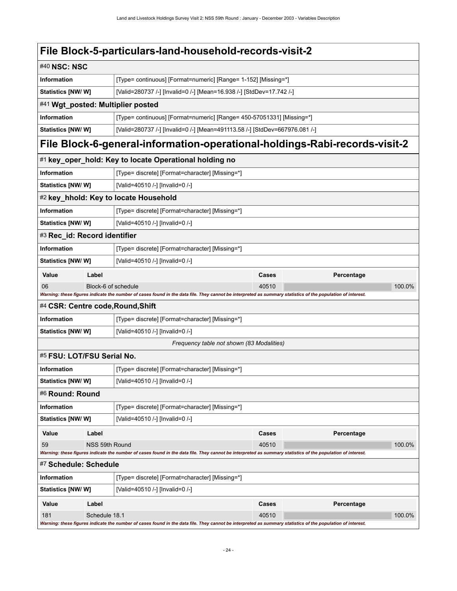<span id="page-27-5"></span><span id="page-27-4"></span><span id="page-27-3"></span><span id="page-27-2"></span><span id="page-27-1"></span><span id="page-27-0"></span>

| #40 NSC: NSC                                                                                                                                                |                                                                                                   |                                                                                                                                                             |       |            |  |  |
|-------------------------------------------------------------------------------------------------------------------------------------------------------------|---------------------------------------------------------------------------------------------------|-------------------------------------------------------------------------------------------------------------------------------------------------------------|-------|------------|--|--|
|                                                                                                                                                             |                                                                                                   |                                                                                                                                                             |       |            |  |  |
| <b>Information</b>                                                                                                                                          |                                                                                                   | [Type= continuous] [Format=numeric] [Range= 1-152] [Missing=*]                                                                                              |       |            |  |  |
|                                                                                                                                                             | <b>Statistics [NW/ W]</b><br>[Valid=280737 /-] [Invalid=0 /-] [Mean=16.938 /-] [StdDev=17.742 /-] |                                                                                                                                                             |       |            |  |  |
|                                                                                                                                                             |                                                                                                   | #41 Wgt_posted: Multiplier posted                                                                                                                           |       |            |  |  |
| <b>Information</b><br>[Type= continuous] [Format=numeric] [Range= 450-57051331] [Missing=*]                                                                 |                                                                                                   |                                                                                                                                                             |       |            |  |  |
|                                                                                                                                                             | Statistics [NW/ W]<br>[Valid=280737 /-] [Invalid=0 /-] [Mean=491113.58 /-] [StdDev=667976.081 /-] |                                                                                                                                                             |       |            |  |  |
| File Block-6-general-information-operational-holdings-Rabi-records-visit-2                                                                                  |                                                                                                   |                                                                                                                                                             |       |            |  |  |
| #1 key_oper_hold: Key to locate Operational holding no                                                                                                      |                                                                                                   |                                                                                                                                                             |       |            |  |  |
| <b>Information</b>                                                                                                                                          |                                                                                                   | [Type= discrete] [Format=character] [Missing=*]                                                                                                             |       |            |  |  |
| Statistics [NW/ W]                                                                                                                                          |                                                                                                   | [Valid=40510 /-] [Invalid=0 /-]                                                                                                                             |       |            |  |  |
|                                                                                                                                                             |                                                                                                   | #2 key_hhold: Key to locate Household                                                                                                                       |       |            |  |  |
| <b>Information</b>                                                                                                                                          |                                                                                                   | [Type= discrete] [Format=character] [Missing=*]                                                                                                             |       |            |  |  |
| Statistics [NW/ W]                                                                                                                                          |                                                                                                   | [Valid=40510 /-] [Invalid=0 /-]                                                                                                                             |       |            |  |  |
| #3 Rec_id: Record identifier                                                                                                                                |                                                                                                   |                                                                                                                                                             |       |            |  |  |
| Information                                                                                                                                                 |                                                                                                   | [Type= discrete] [Format=character] [Missing=*]                                                                                                             |       |            |  |  |
| <b>Statistics [NW/ W]</b>                                                                                                                                   |                                                                                                   | [Valid=40510 /-] [Invalid=0 /-]                                                                                                                             |       |            |  |  |
| Value                                                                                                                                                       | Label                                                                                             |                                                                                                                                                             | Cases | Percentage |  |  |
| 06                                                                                                                                                          | Block-6 of schedule                                                                               |                                                                                                                                                             | 40510 | 100.0%     |  |  |
| Warning: these figures indicate the number of cases found in the data file. They cannot be interpreted as summary statistics of the population of interest. |                                                                                                   |                                                                                                                                                             |       |            |  |  |
| #4 CSR: Centre code, Round, Shift                                                                                                                           |                                                                                                   |                                                                                                                                                             |       |            |  |  |
| <b>Information</b>                                                                                                                                          | [Type= discrete] [Format=character] [Missing=*]                                                   |                                                                                                                                                             |       |            |  |  |
|                                                                                                                                                             | <b>Statistics [NW/ W]</b><br>[Valid=40510 /-] [Invalid=0 /-]                                      |                                                                                                                                                             |       |            |  |  |
| Frequency table not shown (83 Modalities)                                                                                                                   |                                                                                                   |                                                                                                                                                             |       |            |  |  |
| #5 FSU: LOT/FSU Serial No.                                                                                                                                  |                                                                                                   |                                                                                                                                                             |       |            |  |  |
| <b>Information</b>                                                                                                                                          |                                                                                                   | [Type= discrete] [Format=character] [Missing=*]                                                                                                             |       |            |  |  |
| <b>Statistics [NW/ W]</b>                                                                                                                                   |                                                                                                   | [Valid=40510 /-] [Invalid=0 /-]                                                                                                                             |       |            |  |  |
| #6 Round: Round                                                                                                                                             |                                                                                                   |                                                                                                                                                             |       |            |  |  |
| <b>Information</b>                                                                                                                                          |                                                                                                   | [Type= discrete] [Format=character] [Missing=*]                                                                                                             |       |            |  |  |
| Statistics [NW/W]                                                                                                                                           |                                                                                                   | [Valid=40510 /-] [Invalid=0 /-]                                                                                                                             |       |            |  |  |
| Value                                                                                                                                                       | Label                                                                                             |                                                                                                                                                             | Cases | Percentage |  |  |
| 59<br>NSS 59th Round                                                                                                                                        |                                                                                                   |                                                                                                                                                             | 40510 | 100.0%     |  |  |
|                                                                                                                                                             |                                                                                                   | Warning: these figures indicate the number of cases found in the data file. They cannot be interpreted as summary statistics of the population of interest. |       |            |  |  |
| #7 Schedule: Schedule                                                                                                                                       |                                                                                                   |                                                                                                                                                             |       |            |  |  |
| <b>Information</b>                                                                                                                                          |                                                                                                   | [Type= discrete] [Format=character] [Missing=*]                                                                                                             |       |            |  |  |
| <b>Statistics [NW/ W]</b>                                                                                                                                   |                                                                                                   | [Valid=40510 /-] [Invalid=0 /-]                                                                                                                             |       |            |  |  |
| Value                                                                                                                                                       | Label                                                                                             |                                                                                                                                                             | Cases | Percentage |  |  |
| 181                                                                                                                                                         | Schedule 18.1                                                                                     |                                                                                                                                                             | 40510 | 100.0%     |  |  |

<span id="page-27-9"></span><span id="page-27-8"></span><span id="page-27-7"></span><span id="page-27-6"></span>*Warning: these figures indicate the number of cases found in the data file. They cannot be interpreted as summary statistics of the population of interest.*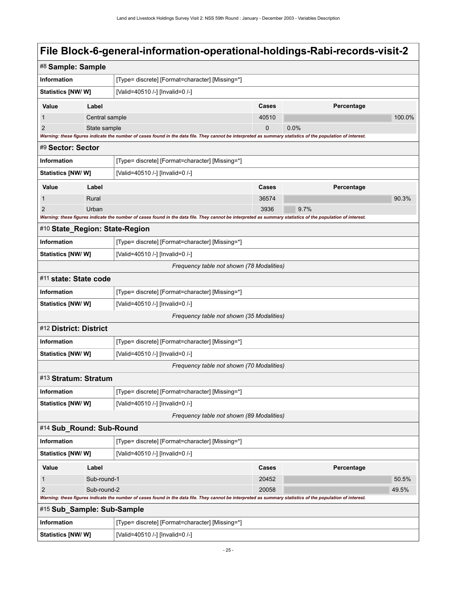<span id="page-28-7"></span><span id="page-28-6"></span><span id="page-28-5"></span><span id="page-28-4"></span><span id="page-28-3"></span><span id="page-28-2"></span><span id="page-28-1"></span><span id="page-28-0"></span>

|                                                      | #8 Sample: Sample                                                                                                                                                                |                                                                                                                                                             |             |            |        |  |
|------------------------------------------------------|----------------------------------------------------------------------------------------------------------------------------------------------------------------------------------|-------------------------------------------------------------------------------------------------------------------------------------------------------------|-------------|------------|--------|--|
| <b>Information</b>                                   |                                                                                                                                                                                  | [Type= discrete] [Format=character] [Missing=*]                                                                                                             |             |            |        |  |
| <b>Statistics [NW/ W]</b>                            |                                                                                                                                                                                  | [Valid=40510 /-] [Invalid=0 /-]                                                                                                                             |             |            |        |  |
| Value                                                | Label                                                                                                                                                                            |                                                                                                                                                             | Cases       | Percentage |        |  |
| 1                                                    | Central sample                                                                                                                                                                   |                                                                                                                                                             | 40510       |            | 100.0% |  |
| $\overline{2}$                                       | State sample                                                                                                                                                                     |                                                                                                                                                             | $\mathbf 0$ | 0.0%       |        |  |
|                                                      | Warning: these figures indicate the number of cases found in the data file. They cannot be interpreted as summary statistics of the population of interest.<br>#9 Sector: Sector |                                                                                                                                                             |             |            |        |  |
| Information                                          | [Type= discrete] [Format=character] [Missing=*]                                                                                                                                  |                                                                                                                                                             |             |            |        |  |
| <b>Statistics [NW/ W]</b>                            |                                                                                                                                                                                  | [Valid=40510 /-] [Invalid=0 /-]                                                                                                                             |             |            |        |  |
| Value                                                | Label                                                                                                                                                                            |                                                                                                                                                             | Cases       | Percentage |        |  |
| 1                                                    | Rural                                                                                                                                                                            |                                                                                                                                                             | 36574       |            | 90.3%  |  |
| $\overline{2}$                                       | Urban                                                                                                                                                                            |                                                                                                                                                             | 3936        | 9.7%       |        |  |
|                                                      |                                                                                                                                                                                  | Warning: these figures indicate the number of cases found in the data file. They cannot be interpreted as summary statistics of the population of interest. |             |            |        |  |
| #10 State_Region: State-Region                       |                                                                                                                                                                                  |                                                                                                                                                             |             |            |        |  |
| <b>Information</b>                                   |                                                                                                                                                                                  | [Type= discrete] [Format=character] [Missing=*]                                                                                                             |             |            |        |  |
| <b>Statistics [NW/ W]</b>                            |                                                                                                                                                                                  | [Valid=40510 /-] [Invalid=0 /-]                                                                                                                             |             |            |        |  |
|                                                      |                                                                                                                                                                                  | Frequency table not shown (78 Modalities)                                                                                                                   |             |            |        |  |
| #11 state: State code                                |                                                                                                                                                                                  |                                                                                                                                                             |             |            |        |  |
| <b>Information</b>                                   | [Type= discrete] [Format=character] [Missing=*]                                                                                                                                  |                                                                                                                                                             |             |            |        |  |
| <b>Statistics [NW/W]</b>                             |                                                                                                                                                                                  | [Valid=40510 /-] [Invalid=0 /-]                                                                                                                             |             |            |        |  |
| Frequency table not shown (35 Modalities)            |                                                                                                                                                                                  |                                                                                                                                                             |             |            |        |  |
| #12 District: District                               |                                                                                                                                                                                  |                                                                                                                                                             |             |            |        |  |
| <b>Information</b>                                   |                                                                                                                                                                                  | [Type= discrete] [Format=character] [Missing=*]                                                                                                             |             |            |        |  |
|                                                      | [Valid=40510 /-] [Invalid=0 /-]<br>Statistics [NW/ W]                                                                                                                            |                                                                                                                                                             |             |            |        |  |
|                                                      | Frequency table not shown (70 Modalities)                                                                                                                                        |                                                                                                                                                             |             |            |        |  |
| #13 Stratum: Stratum                                 |                                                                                                                                                                                  |                                                                                                                                                             |             |            |        |  |
| <b>Information</b>                                   |                                                                                                                                                                                  | [Type= discrete] [Format=character] [Missing=*]                                                                                                             |             |            |        |  |
| Statistics [NW/ W]                                   |                                                                                                                                                                                  | [Valid=40510 /-] [Invalid=0 /-]                                                                                                                             |             |            |        |  |
|                                                      |                                                                                                                                                                                  | Frequency table not shown (89 Modalities)                                                                                                                   |             |            |        |  |
| #14 Sub_Round: Sub-Round                             |                                                                                                                                                                                  |                                                                                                                                                             |             |            |        |  |
| <b>Information</b>                                   |                                                                                                                                                                                  | [Type= discrete] [Format=character] [Missing=*]                                                                                                             |             |            |        |  |
| Statistics [NW/W]<br>[Valid=40510 /-] [Invalid=0 /-] |                                                                                                                                                                                  |                                                                                                                                                             |             |            |        |  |
| Value                                                | Label<br>Cases<br>Percentage                                                                                                                                                     |                                                                                                                                                             |             |            |        |  |
| Sub-round-1<br>1                                     |                                                                                                                                                                                  |                                                                                                                                                             | 20452       |            | 50.5%  |  |
| Sub-round-2<br>$\overline{c}$                        |                                                                                                                                                                                  |                                                                                                                                                             | 20058       |            | 49.5%  |  |
|                                                      |                                                                                                                                                                                  | Warning: these figures indicate the number of cases found in the data file. They cannot be interpreted as summary statistics of the population of interest. |             |            |        |  |
| #15 Sub_Sample: Sub-Sample                           |                                                                                                                                                                                  |                                                                                                                                                             |             |            |        |  |
| Information                                          |                                                                                                                                                                                  | [Type= discrete] [Format=character] [Missing=*]                                                                                                             |             |            |        |  |
| Statistics [NW/ W]                                   |                                                                                                                                                                                  | [Valid=40510 /-] [Invalid=0 /-]                                                                                                                             |             |            |        |  |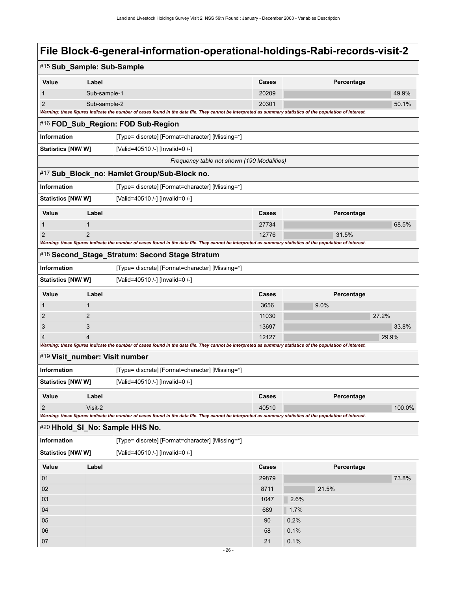<span id="page-29-4"></span><span id="page-29-3"></span><span id="page-29-2"></span><span id="page-29-1"></span><span id="page-29-0"></span>

| #15 Sub_Sample: Sub-Sample                           |                                                                                                                                                             |                                                                                                                                                             |              |            |        |  |
|------------------------------------------------------|-------------------------------------------------------------------------------------------------------------------------------------------------------------|-------------------------------------------------------------------------------------------------------------------------------------------------------------|--------------|------------|--------|--|
| Value                                                | Label                                                                                                                                                       |                                                                                                                                                             | Cases        | Percentage |        |  |
| 1                                                    | Sub-sample-1                                                                                                                                                |                                                                                                                                                             | 20209        |            | 49.9%  |  |
| 2                                                    | Sub-sample-2                                                                                                                                                |                                                                                                                                                             | 20301        |            | 50.1%  |  |
|                                                      |                                                                                                                                                             | Warning: these figures indicate the number of cases found in the data file. They cannot be interpreted as summary statistics of the population of interest. |              |            |        |  |
| #16 FOD_Sub_Region: FOD Sub-Region                   |                                                                                                                                                             |                                                                                                                                                             |              |            |        |  |
| <b>Information</b>                                   |                                                                                                                                                             | [Type= discrete] [Format=character] [Missing=*]                                                                                                             |              |            |        |  |
| Statistics [NW/W]<br>[Valid=40510 /-] [Invalid=0 /-] |                                                                                                                                                             |                                                                                                                                                             |              |            |        |  |
|                                                      |                                                                                                                                                             | Frequency table not shown (190 Modalities)                                                                                                                  |              |            |        |  |
|                                                      |                                                                                                                                                             | #17 Sub_Block_no: Hamlet Group/Sub-Block no.                                                                                                                |              |            |        |  |
| Information                                          |                                                                                                                                                             | [Type= discrete] [Format=character] [Missing=*]                                                                                                             |              |            |        |  |
| <b>Statistics [NW/ W]</b>                            |                                                                                                                                                             | [Valid=40510 /-] [Invalid=0 /-]                                                                                                                             |              |            |        |  |
| Value                                                | Label                                                                                                                                                       |                                                                                                                                                             | Cases        | Percentage |        |  |
| 1                                                    | $\mathbf 1$                                                                                                                                                 |                                                                                                                                                             | 27734        |            | 68.5%  |  |
| $\overline{2}$                                       | $\overline{2}$                                                                                                                                              |                                                                                                                                                             | 12776        | 31.5%      |        |  |
|                                                      |                                                                                                                                                             | Warning: these figures indicate the number of cases found in the data file. They cannot be interpreted as summary statistics of the population of interest. |              |            |        |  |
|                                                      |                                                                                                                                                             | #18 Second_Stage_Stratum: Second Stage Stratum                                                                                                              |              |            |        |  |
| <b>Information</b>                                   |                                                                                                                                                             | [Type= discrete] [Format=character] [Missing=*]                                                                                                             |              |            |        |  |
| Statistics [NW/W]<br>[Valid=40510 /-] [Invalid=0 /-] |                                                                                                                                                             |                                                                                                                                                             |              |            |        |  |
| Value                                                | Label                                                                                                                                                       |                                                                                                                                                             | <b>Cases</b> | Percentage |        |  |
| 1                                                    | $\mathbf 1$                                                                                                                                                 |                                                                                                                                                             | 3656         | 9.0%       |        |  |
| 2                                                    | 2                                                                                                                                                           |                                                                                                                                                             | 11030        |            | 27.2%  |  |
| 3                                                    | 3                                                                                                                                                           |                                                                                                                                                             | 13697        |            | 33.8%  |  |
|                                                      | 4                                                                                                                                                           |                                                                                                                                                             | 12127        |            | 29.9%  |  |
|                                                      | Warning: these figures indicate the number of cases found in the data file. They cannot be interpreted as summary statistics of the population of interest. |                                                                                                                                                             |              |            |        |  |
| #19 Visit_number: Visit number                       |                                                                                                                                                             |                                                                                                                                                             |              |            |        |  |
| <b>Information</b>                                   |                                                                                                                                                             | [Type= discrete] [Format=character] [Missing=*]                                                                                                             |              |            |        |  |
| Statistics [NW/ W]                                   |                                                                                                                                                             | [Valid=40510 /-] [Invalid=0 /-]                                                                                                                             |              |            |        |  |
| Value Label                                          |                                                                                                                                                             |                                                                                                                                                             | <b>Cases</b> | Percentage |        |  |
| $\overline{2}$                                       | Visit-2                                                                                                                                                     |                                                                                                                                                             | 40510        |            | 100.0% |  |
|                                                      |                                                                                                                                                             | Warning: these figures indicate the number of cases found in the data file. They cannot be interpreted as summary statistics of the population of interest. |              |            |        |  |
|                                                      |                                                                                                                                                             | #20 Hhold_SI_No: Sample HHS No.                                                                                                                             |              |            |        |  |
| Information                                          |                                                                                                                                                             | [Type= discrete] [Format=character] [Missing=*]                                                                                                             |              |            |        |  |
| Statistics [NW/W]                                    |                                                                                                                                                             | [Valid=40510 /-] [Invalid=0 /-]                                                                                                                             |              |            |        |  |
| Value                                                | Label                                                                                                                                                       |                                                                                                                                                             | Cases        | Percentage |        |  |
| 01                                                   |                                                                                                                                                             |                                                                                                                                                             | 29879        |            | 73.8%  |  |
| 02                                                   |                                                                                                                                                             |                                                                                                                                                             | 8711         | 21.5%      |        |  |
| 03                                                   |                                                                                                                                                             |                                                                                                                                                             | 1047         | 2.6%       |        |  |
| 04                                                   |                                                                                                                                                             |                                                                                                                                                             | 689          | 1.7%       |        |  |
| 05                                                   |                                                                                                                                                             |                                                                                                                                                             | 90           | 0.2%       |        |  |
| 06                                                   |                                                                                                                                                             |                                                                                                                                                             | 58           | 0.1%       |        |  |
| 07                                                   |                                                                                                                                                             |                                                                                                                                                             | 21           | 0.1%       |        |  |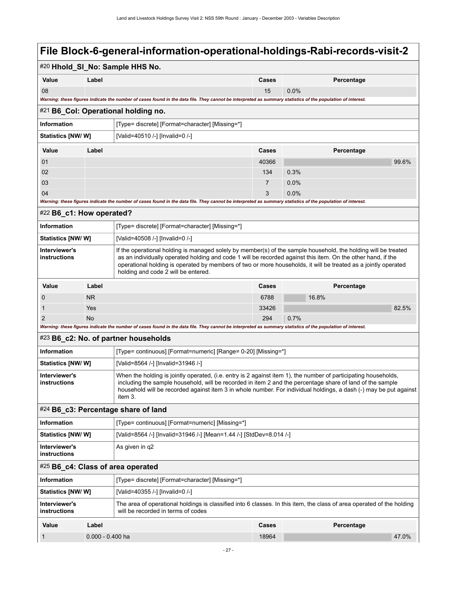### <span id="page-30-4"></span><span id="page-30-3"></span><span id="page-30-2"></span><span id="page-30-1"></span><span id="page-30-0"></span>#20 **Hhold\_Sl\_No: Sample HHS No. Value Label Cases Percentage** 08 15 0.0% *Warning: these figures indicate the number of cases found in the data file. They cannot be interpreted as summary statistics of the population of interest.* #21 **B6\_Col: Operational holding no. Information information** [Type= discrete] [Format=character] [Missing=\*] **Statistics [NW/ W]** [Valid=40510 /-] [Invalid=0 /-] **Value Label Cases Percentage** 01 40366 99.6% 02  $134$   $0.3\%$ 03 7 0.0% 04 3 0.0% and  $\sim$  0.0% and  $\sim$  0.0% and  $\sim$  0.0% and  $\sim$  0.0% and  $\sim$  0.0% and  $\sim$  0.0% *Warning: these figures indicate the number of cases found in the data file. They cannot be interpreted as summary statistics of the population of interest.* #22 **B6\_c1: How operated? Information information information [Type= discrete]** [Format=character] [Missing=\*] **Statistics [NW/ W]** [Valid=40508 /-] [Invalid=0 /-] **Interviewer's instructions** If the operational holding is managed solely by member(s) of the sample household, the holding will be treated as an individually operated holding and code 1 will be recorded against this item. On the other hand, if the operational holding is operated by members of two or more households, it will be treated as a jointly operated holding and code 2 will be entered. **Value Label Cases Percentage** 0 NR 6788 16.8% **NR** 6788 16.8% **NR** 6788 16.8% **NR** 6788 16.8% **NR** 6788 16.8% **NR** 6788 16.8% 1  $\sim$  Yes  $\sim$  82.5% 2 No  $\sim$  294  $0.7\%$ *Warning: these figures indicate the number of cases found in the data file. They cannot be interpreted as summary statistics of the population of interest.* #23 **B6\_c2: No. of partner households Information information** [Type= continuous] [Format=numeric] [Range= 0-20] [Missing=\*] **Statistics [NW/ W]** [Valid=8564 /-] [Invalid=31946 /-] **Interviewer's instructions** When the holding is jointly operated, (i.e. entry is 2 against item 1), the number of participating households, including the sample household, will be recorded in item 2 and the percentage share of land of the sample household will be recorded against item 3 in whole number. For individual holdings, a dash (-) may be put against item 3. #24 **B6\_c3: Percentage share of land Information information** [Type= continuous] [Format=numeric] [Missing=\*] **Statistics [NW/ W]** [Valid=8564 /-] [Invalid=31946 /-] [Mean=1.44 /-] [StdDev=8.014 /-] **Interviewer's instructions** As given in q2 #25 **B6\_c4: Class of area operated Information information information [Type= discrete]** [Format=character] [Missing=\*] **Statistics [NW/ W]** [Valid=40355 /-] [Invalid=0 /-] **Interviewer's instructions** The area of operational holdings is classified into 6 classes. In this item, the class of area operated of the holding will be recorded in terms of codes **Value Label Cases Percentage** 1 0.000 - 0.400 ha 18964 47.0% and 18964 47.0% and 18964 47.0% and 18964 47.0% and 18964 47.0% and 18964 47.0%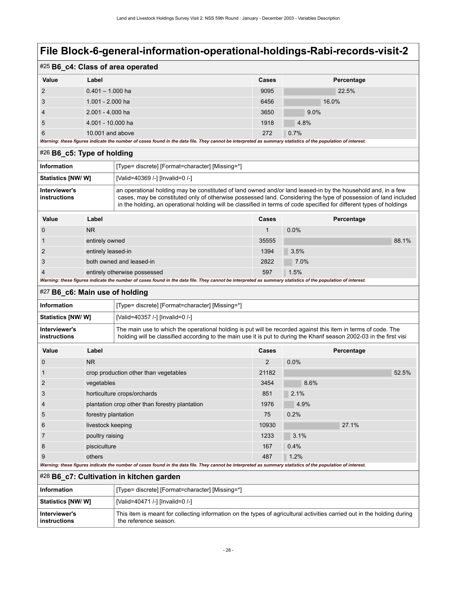| #25 B6_c4: Class of area operated |                                                                                                                                                             |       |            |  |
|-----------------------------------|-------------------------------------------------------------------------------------------------------------------------------------------------------------|-------|------------|--|
| Value                             | Label                                                                                                                                                       | Cases | Percentage |  |
| 2                                 | $0.401 - 1.000$ ha                                                                                                                                          | 9095  | 22.5%      |  |
| 3                                 | $1.001 - 2.000$ ha                                                                                                                                          | 6456  | 16.0%      |  |
| $\overline{4}$                    | $2.001 - 4.000$ ha                                                                                                                                          | 3650  | $9.0\%$    |  |
| 5                                 | 4.001 - 10.000 ha                                                                                                                                           | 1918  | 4.8%       |  |
| 6                                 | 10,001 and above                                                                                                                                            | 272   | 0.7%       |  |
|                                   | Warning: these figures indicate the number of cases found in the data file. They cannot be interpreted as summary statistics of the population of interest. |       |            |  |

### <span id="page-31-0"></span>#26 **B6\_c5: Type of holding**

| Information                   | [Type= discrete] [Format=character] [Missing=*]                                                                                                                                                                                                                                                                                                         |
|-------------------------------|---------------------------------------------------------------------------------------------------------------------------------------------------------------------------------------------------------------------------------------------------------------------------------------------------------------------------------------------------------|
| Statistics [NW/ W]            | [Valid=40369 /-] [Invalid=0 /-]                                                                                                                                                                                                                                                                                                                         |
| Interviewer's<br>instructions | an operational holding may be constituted of land owned and/or land leased-in by the household and, in a few<br>cases, may be constituted only of otherwise possessed land. Considering the type of possession of land included<br>in the holding, an operational holding will be classified in terms of code specified for different types of holdings |

| Value               | Label                        | <b>Cases</b> | Percentage |
|---------------------|------------------------------|--------------|------------|
|                     | <b>NR</b>                    |              | 0.0%       |
|                     | entirely owned               | 35555        | 88.1%      |
| 2                   | entirely leased-in           | 1394         | 3.5%       |
| 3                   | both owned and leased-in     | 2822         | 7.0%       |
| $\overline{4}$<br>- | entirely otherwise possessed | 597          | 1.5%       |

*Warning: these figures indicate the number of cases found in the data file. They cannot be interpreted as summary statistics of the population of interest.*

#### <span id="page-31-1"></span>#27 **B6\_c6: Main use of holding**

| Information                   | [Type= discrete] [Format=character] [Missing=*]                                                                                                                                                                                       |
|-------------------------------|---------------------------------------------------------------------------------------------------------------------------------------------------------------------------------------------------------------------------------------|
| <b>Statistics [NW/ W]</b>     | [Valid=40357 /-] [Invalid=0 /-]                                                                                                                                                                                                       |
| Interviewer's<br>instructions | The main use to which the operational holding is put will be recorded against this item in terms of code. The<br>holding will be classified according to the main use it is put to during the Kharif season 2002-03 in the first visi |

| Value          | Label                                                                                                                                                       | <b>Cases</b> | Percentage |
|----------------|-------------------------------------------------------------------------------------------------------------------------------------------------------------|--------------|------------|
| 0              | <b>NR</b>                                                                                                                                                   | 2            | 0.0%       |
|                | crop production other than vegetables                                                                                                                       | 21182        | 52.5%      |
| $\overline{2}$ | vegetables                                                                                                                                                  | 3454         | 8.6%       |
| 3              | horticulture crops/orchards                                                                                                                                 | 851          | 2.1%       |
| 4              | plantation crop other than forestry plantation                                                                                                              | 1976         | 4.9%       |
| 5              | forestry plantation                                                                                                                                         | 75           | 0.2%       |
| 6              | livestock keeping                                                                                                                                           | 10930        | 27.1%      |
| 7              | poultry raising                                                                                                                                             | 1233         | 3.1%       |
| 8              | pisciculture                                                                                                                                                | 167          | 0.4%       |
| 9              | others                                                                                                                                                      | 487          | 1.2%       |
|                | Warning: these figures indicate the number of cases found in the data file. They cannot be interpreted as summary statistics of the population of interest. |              |            |

<span id="page-31-2"></span>#28 **B6\_c7: Cultivation in kitchen garden**

| Information                   | [Type= discrete] [Format=character] [Missing=*]                                                                                                  |
|-------------------------------|--------------------------------------------------------------------------------------------------------------------------------------------------|
| <b>Statistics [NW/ W]</b>     | [Valid=40471 /-] [Invalid=0 /-]                                                                                                                  |
| Interviewer's<br>instructions | This item is meant for collecting information on the types of agricultural activities carried out in the holding during<br>the reference season. |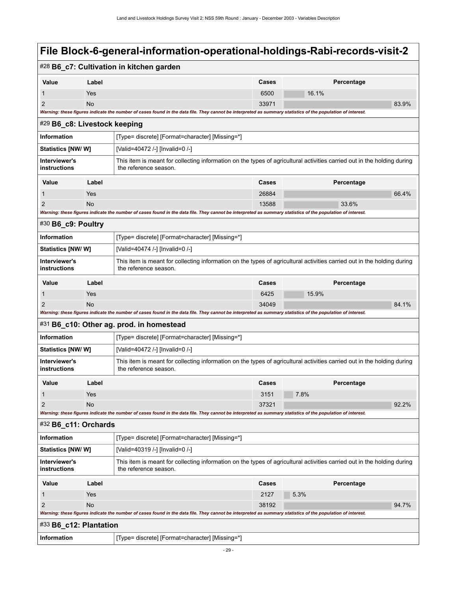<span id="page-32-4"></span><span id="page-32-3"></span><span id="page-32-2"></span><span id="page-32-1"></span><span id="page-32-0"></span>

|                                                                                                                                                                                   |                                                                                                                                                  | #28 B6_c7: Cultivation in kitchen garden                                                                                                                    |              |            |       |  |
|-----------------------------------------------------------------------------------------------------------------------------------------------------------------------------------|--------------------------------------------------------------------------------------------------------------------------------------------------|-------------------------------------------------------------------------------------------------------------------------------------------------------------|--------------|------------|-------|--|
| Value                                                                                                                                                                             | Label                                                                                                                                            |                                                                                                                                                             | Cases        | Percentage |       |  |
| $\mathbf 1$                                                                                                                                                                       | Yes                                                                                                                                              |                                                                                                                                                             | 6500         | 16.1%      |       |  |
| $\overline{2}$                                                                                                                                                                    | <b>No</b>                                                                                                                                        |                                                                                                                                                             | 33971        |            | 83.9% |  |
| Warning: these figures indicate the number of cases found in the data file. They cannot be interpreted as summary statistics of the population of interest.                       |                                                                                                                                                  |                                                                                                                                                             |              |            |       |  |
|                                                                                                                                                                                   | #29 B6_c8: Livestock keeping                                                                                                                     |                                                                                                                                                             |              |            |       |  |
| <b>Information</b>                                                                                                                                                                |                                                                                                                                                  | [Type= discrete] [Format=character] [Missing=*]                                                                                                             |              |            |       |  |
| <b>Statistics [NW/ W]</b><br>[Valid=40472 /-] [Invalid=0 /-]                                                                                                                      |                                                                                                                                                  |                                                                                                                                                             |              |            |       |  |
| Interviewer's<br>This item is meant for collecting information on the types of agricultural activities carried out in the holding during<br>instructions<br>the reference season. |                                                                                                                                                  |                                                                                                                                                             |              |            |       |  |
| Value                                                                                                                                                                             | Label<br>Percentage<br><b>Cases</b>                                                                                                              |                                                                                                                                                             |              |            |       |  |
| 1                                                                                                                                                                                 | Yes                                                                                                                                              |                                                                                                                                                             | 26884        |            | 66.4% |  |
| 2                                                                                                                                                                                 | <b>No</b>                                                                                                                                        |                                                                                                                                                             | 13588        | 33.6%      |       |  |
|                                                                                                                                                                                   |                                                                                                                                                  | Warning: these figures indicate the number of cases found in the data file. They cannot be interpreted as summary statistics of the population of interest. |              |            |       |  |
| $#30$ B6_c9: Poultry                                                                                                                                                              |                                                                                                                                                  |                                                                                                                                                             |              |            |       |  |
| <b>Information</b>                                                                                                                                                                |                                                                                                                                                  | [Type= discrete] [Format=character] [Missing=*]                                                                                                             |              |            |       |  |
| <b>Statistics [NW/ W]</b>                                                                                                                                                         |                                                                                                                                                  | [Valid=40474 /-] [Invalid=0 /-]                                                                                                                             |              |            |       |  |
| Interviewer's<br>instructions                                                                                                                                                     |                                                                                                                                                  | This item is meant for collecting information on the types of agricultural activities carried out in the holding during<br>the reference season.            |              |            |       |  |
| Value                                                                                                                                                                             | Label                                                                                                                                            |                                                                                                                                                             | Cases        | Percentage |       |  |
| 1                                                                                                                                                                                 | Yes                                                                                                                                              |                                                                                                                                                             | 6425         | 15.9%      |       |  |
| 2                                                                                                                                                                                 | No                                                                                                                                               |                                                                                                                                                             | 34049        |            | 84.1% |  |
| Warning: these figures indicate the number of cases found in the data file. They cannot be interpreted as summary statistics of the population of interest.                       |                                                                                                                                                  |                                                                                                                                                             |              |            |       |  |
|                                                                                                                                                                                   |                                                                                                                                                  | #31 B6_c10: Other ag. prod. in homestead                                                                                                                    |              |            |       |  |
| <b>Information</b>                                                                                                                                                                |                                                                                                                                                  | [Type= discrete] [Format=character] [Missing=*]                                                                                                             |              |            |       |  |
| Statistics [NW/W]                                                                                                                                                                 |                                                                                                                                                  | [Valid=40472 /-] [Invalid=0 /-]                                                                                                                             |              |            |       |  |
| Interviewer's<br>instructions                                                                                                                                                     |                                                                                                                                                  | This item is meant for collecting information on the types of agricultural activities carried out in the holding during<br>the reference season.            |              |            |       |  |
| Value                                                                                                                                                                             | Label                                                                                                                                            |                                                                                                                                                             | <b>Cases</b> | Percentage |       |  |
| 1                                                                                                                                                                                 | Yes                                                                                                                                              |                                                                                                                                                             | 3151         | 7.8%       |       |  |
| $\overline{2}$                                                                                                                                                                    | No                                                                                                                                               |                                                                                                                                                             | 37321        |            | 92.2% |  |
|                                                                                                                                                                                   |                                                                                                                                                  | Warning: these figures indicate the number of cases found in the data file. They cannot be interpreted as summary statistics of the population of interest. |              |            |       |  |
| #32 B6_c11: Orchards                                                                                                                                                              |                                                                                                                                                  |                                                                                                                                                             |              |            |       |  |
| Information                                                                                                                                                                       |                                                                                                                                                  | [Type= discrete] [Format=character] [Missing=*]                                                                                                             |              |            |       |  |
| <b>Statistics [NW/ W]</b>                                                                                                                                                         |                                                                                                                                                  | [Valid=40319 /-] [Invalid=0 /-]                                                                                                                             |              |            |       |  |
| Interviewer's<br>instructions                                                                                                                                                     | This item is meant for collecting information on the types of agricultural activities carried out in the holding during<br>the reference season. |                                                                                                                                                             |              |            |       |  |
| Value                                                                                                                                                                             | Label                                                                                                                                            |                                                                                                                                                             | Cases        | Percentage |       |  |
| 1                                                                                                                                                                                 | Yes                                                                                                                                              |                                                                                                                                                             | 2127         | 5.3%       |       |  |
| 2                                                                                                                                                                                 | No                                                                                                                                               |                                                                                                                                                             | 38192        |            | 94.7% |  |
|                                                                                                                                                                                   |                                                                                                                                                  | Warning: these figures indicate the number of cases found in the data file. They cannot be interpreted as summary statistics of the population of interest. |              |            |       |  |
| #33 B6_c12: Plantation                                                                                                                                                            |                                                                                                                                                  |                                                                                                                                                             |              |            |       |  |
| Information                                                                                                                                                                       |                                                                                                                                                  | [Type= discrete] [Format=character] [Missing=*]                                                                                                             |              |            |       |  |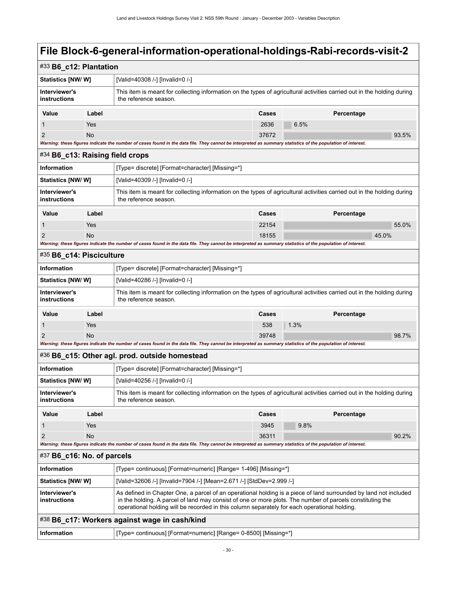<span id="page-33-4"></span><span id="page-33-3"></span><span id="page-33-2"></span><span id="page-33-1"></span><span id="page-33-0"></span>

| #33 B6_c12: Plantation                                                                                                                                                            |                                                                                                                                                                                                                                                                                                                               |                                                                                                                                                             |              |            |  |  |
|-----------------------------------------------------------------------------------------------------------------------------------------------------------------------------------|-------------------------------------------------------------------------------------------------------------------------------------------------------------------------------------------------------------------------------------------------------------------------------------------------------------------------------|-------------------------------------------------------------------------------------------------------------------------------------------------------------|--------------|------------|--|--|
| <b>Statistics [NW/ W]</b>                                                                                                                                                         |                                                                                                                                                                                                                                                                                                                               | [Valid=40308 /-] [Invalid=0 /-]                                                                                                                             |              |            |  |  |
| Interviewer's<br>instructions                                                                                                                                                     |                                                                                                                                                                                                                                                                                                                               | This item is meant for collecting information on the types of agricultural activities carried out in the holding during<br>the reference season.            |              |            |  |  |
| Value                                                                                                                                                                             | Label                                                                                                                                                                                                                                                                                                                         |                                                                                                                                                             | Cases        | Percentage |  |  |
| 1                                                                                                                                                                                 | Yes                                                                                                                                                                                                                                                                                                                           |                                                                                                                                                             | 2636         | 6.5%       |  |  |
| $\overline{2}$                                                                                                                                                                    | <b>No</b>                                                                                                                                                                                                                                                                                                                     |                                                                                                                                                             | 37672        | 93.5%      |  |  |
|                                                                                                                                                                                   |                                                                                                                                                                                                                                                                                                                               | Warning: these figures indicate the number of cases found in the data file. They cannot be interpreted as summary statistics of the population of interest. |              |            |  |  |
|                                                                                                                                                                                   | #34 B6_c13: Raising field crops                                                                                                                                                                                                                                                                                               |                                                                                                                                                             |              |            |  |  |
| Information                                                                                                                                                                       |                                                                                                                                                                                                                                                                                                                               | [Type= discrete] [Format=character] [Missing=*]                                                                                                             |              |            |  |  |
| Statistics [NW/ W]                                                                                                                                                                |                                                                                                                                                                                                                                                                                                                               | [Valid=40309 /-] [Invalid=0 /-]                                                                                                                             |              |            |  |  |
| Interviewer's<br>instructions                                                                                                                                                     |                                                                                                                                                                                                                                                                                                                               | This item is meant for collecting information on the types of agricultural activities carried out in the holding during<br>the reference season.            |              |            |  |  |
| Value                                                                                                                                                                             | Label                                                                                                                                                                                                                                                                                                                         |                                                                                                                                                             | Cases        | Percentage |  |  |
| 1                                                                                                                                                                                 | Yes                                                                                                                                                                                                                                                                                                                           |                                                                                                                                                             | 22154        | 55.0%      |  |  |
| 2                                                                                                                                                                                 | <b>No</b>                                                                                                                                                                                                                                                                                                                     |                                                                                                                                                             | 18155        | 45.0%      |  |  |
|                                                                                                                                                                                   |                                                                                                                                                                                                                                                                                                                               | Warning: these figures indicate the number of cases found in the data file. They cannot be interpreted as summary statistics of the population of interest. |              |            |  |  |
| #35 B6_c14: Pisciculture                                                                                                                                                          |                                                                                                                                                                                                                                                                                                                               |                                                                                                                                                             |              |            |  |  |
| Information                                                                                                                                                                       |                                                                                                                                                                                                                                                                                                                               | [Type= discrete] [Format=character] [Missing=*]                                                                                                             |              |            |  |  |
| <b>Statistics [NW/ W]</b>                                                                                                                                                         |                                                                                                                                                                                                                                                                                                                               | [Valid=40286 /-] [Invalid=0 /-]                                                                                                                             |              |            |  |  |
| Interviewer's<br>This item is meant for collecting information on the types of agricultural activities carried out in the holding during<br>instructions<br>the reference season. |                                                                                                                                                                                                                                                                                                                               |                                                                                                                                                             |              |            |  |  |
| Value                                                                                                                                                                             | Label                                                                                                                                                                                                                                                                                                                         |                                                                                                                                                             | Cases        | Percentage |  |  |
| 1                                                                                                                                                                                 | Yes                                                                                                                                                                                                                                                                                                                           |                                                                                                                                                             | 538          | 1.3%       |  |  |
| 2                                                                                                                                                                                 | <b>No</b>                                                                                                                                                                                                                                                                                                                     |                                                                                                                                                             | 39748        | 98.7%      |  |  |
|                                                                                                                                                                                   | Warning: these figures indicate the number of cases found in the data file. They cannot be interpreted as summary statistics of the population of interest.                                                                                                                                                                   |                                                                                                                                                             |              |            |  |  |
|                                                                                                                                                                                   |                                                                                                                                                                                                                                                                                                                               | #36 B6_c15: Other agl. prod. outside homestead                                                                                                              |              |            |  |  |
| Information                                                                                                                                                                       |                                                                                                                                                                                                                                                                                                                               | [Type= discrete] [Format=character] [Missing=*]                                                                                                             |              |            |  |  |
| <b>Statistics [NW/ W]</b>                                                                                                                                                         |                                                                                                                                                                                                                                                                                                                               | [Valid=40256 /-] [Invalid=0 /-]                                                                                                                             |              |            |  |  |
| Interviewer's<br>instructions                                                                                                                                                     |                                                                                                                                                                                                                                                                                                                               | This item is meant for collecting information on the types of agricultural activities carried out in the holding during<br>the reference season.            |              |            |  |  |
| Value                                                                                                                                                                             | Label                                                                                                                                                                                                                                                                                                                         |                                                                                                                                                             | <b>Cases</b> | Percentage |  |  |
| $\mathbf 1$                                                                                                                                                                       | Yes                                                                                                                                                                                                                                                                                                                           |                                                                                                                                                             | 3945         | 9.8%       |  |  |
| $\overline{2}$                                                                                                                                                                    | <b>No</b>                                                                                                                                                                                                                                                                                                                     |                                                                                                                                                             | 36311        | 90.2%      |  |  |
|                                                                                                                                                                                   |                                                                                                                                                                                                                                                                                                                               | Warning: these figures indicate the number of cases found in the data file. They cannot be interpreted as summary statistics of the population of interest. |              |            |  |  |
| #37 B6_c16: No. of parcels                                                                                                                                                        |                                                                                                                                                                                                                                                                                                                               |                                                                                                                                                             |              |            |  |  |
| <b>Information</b>                                                                                                                                                                |                                                                                                                                                                                                                                                                                                                               | [Type= continuous] [Format=numeric] [Range= 1-496] [Missing=*]                                                                                              |              |            |  |  |
| <b>Statistics [NW/ W]</b>                                                                                                                                                         |                                                                                                                                                                                                                                                                                                                               | [Valid=32606 /-] [Invalid=7904 /-] [Mean=2.671 /-] [StdDev=2.999 /-]                                                                                        |              |            |  |  |
| Interviewer's<br>instructions                                                                                                                                                     | As defined in Chapter One, a parcel of an operational holding is a piece of land surrounded by land not included<br>in the holding. A parcel of land may consist of one or more plots. The number of parcels constituting the<br>operational holding will be recorded in this column separately for each operational holding. |                                                                                                                                                             |              |            |  |  |
|                                                                                                                                                                                   |                                                                                                                                                                                                                                                                                                                               | #38 B6_c17: Workers against wage in cash/kind                                                                                                               |              |            |  |  |
| Information                                                                                                                                                                       |                                                                                                                                                                                                                                                                                                                               | [Type= continuous] [Format=numeric] [Range= 0-8500] [Missing=*]                                                                                             |              |            |  |  |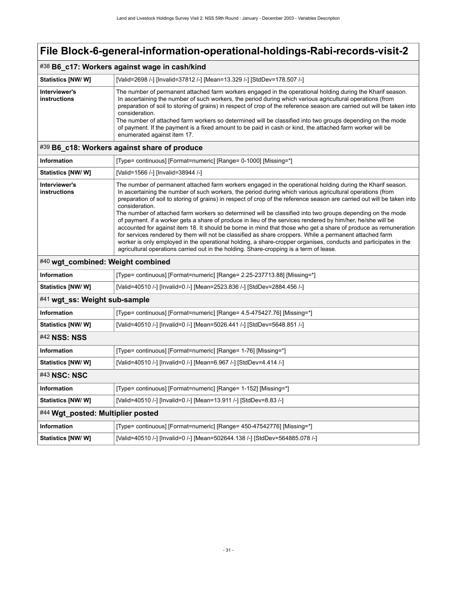### #38 **B6\_c17: Workers against wage in cash/kind**

| <b>Statistics [NW/W]</b>      | [Valid=2698 /-] [Invalid=37812 /-] [Mean=13.329 /-] [StdDev=178.507 /-]                                                                                                                                                                                                                                                                                                                                                                                                                                                                                                                                                        |
|-------------------------------|--------------------------------------------------------------------------------------------------------------------------------------------------------------------------------------------------------------------------------------------------------------------------------------------------------------------------------------------------------------------------------------------------------------------------------------------------------------------------------------------------------------------------------------------------------------------------------------------------------------------------------|
| Interviewer's<br>instructions | The number of permanent attached farm workers engaged in the operational holding during the Kharif season.<br>In ascertaining the number of such workers, the period during which various agricultural operations (from<br>preparation of soil to storing of grains) in respect of crop of the reference season are carried out will be taken into<br>consideration.<br>The number of attached farm workers so determined will be classified into two groups depending on the mode<br>of payment. If the payment is a fixed amount to be paid in cash or kind, the attached farm worker will be<br>enumerated against item 17. |

#### <span id="page-34-0"></span>#39 **B6\_c18: Workers against share of produce**

| Information                   | [Type= continuous] [Format=numeric] [Range= 0-1000] [Missing=*]                                                                                                                                                                                                                                                                                                                                                                                                                                                                                                                                                                                                                                                                                                                                                                                                                                                                                                                                                                              |
|-------------------------------|----------------------------------------------------------------------------------------------------------------------------------------------------------------------------------------------------------------------------------------------------------------------------------------------------------------------------------------------------------------------------------------------------------------------------------------------------------------------------------------------------------------------------------------------------------------------------------------------------------------------------------------------------------------------------------------------------------------------------------------------------------------------------------------------------------------------------------------------------------------------------------------------------------------------------------------------------------------------------------------------------------------------------------------------|
| <b>Statistics [NW/ W]</b>     | [Valid=1566 /-] [Invalid=38944 /-]                                                                                                                                                                                                                                                                                                                                                                                                                                                                                                                                                                                                                                                                                                                                                                                                                                                                                                                                                                                                           |
| Interviewer's<br>instructions | The number of permanent attached farm workers engaged in the operational holding during the Kharif season.<br>In ascertaining the number of such workers, the period during which various agricultural operations (from<br>preparation of soil to storing of grains) in respect of crop of the reference season are carried out will be taken into<br>consideration.<br>The number of attached farm workers so determined will be classified into two groups depending on the mode<br>of payment, if a worker gets a share of produce in lieu of the services rendered by him/her, he/she will be<br>accounted for against item 18. It should be borne in mind that those who get a share of produce as remuneration<br>for services rendered by them will not be classified as share croppers. While a permanent attached farm<br>worker is only employed in the operational holding, a share-cropper organises, conducts and participates in the<br>agricultural operations carried out in the holding. Share-cropping is a term of lease. |

#### <span id="page-34-1"></span>#40 **wgt\_combined: Weight combined**

<span id="page-34-5"></span><span id="page-34-4"></span><span id="page-34-3"></span><span id="page-34-2"></span>

| <b>Information</b>                | [Type= continuous] [Format=numeric] [Range= 2.25-237713.88] [Missing=*]     |  |
|-----------------------------------|-----------------------------------------------------------------------------|--|
| Statistics [NW/W]                 | [Valid=40510 /-] [Invalid=0 /-] [Mean=2523.836 /-] [StdDev=2884.456 /-]     |  |
| #41 wgt_ss: Weight sub-sample     |                                                                             |  |
| <b>Information</b>                | [Type= continuous] [Format=numeric] [Range= 4.5-475427.76] [Missing=*]      |  |
| Statistics [NW/W]                 | [Valid=40510 /-] [Invalid=0 /-] [Mean=5026.441 /-] [StdDev=5648.851 /-]     |  |
| <b>#42 NSS: NSS</b>               |                                                                             |  |
| <b>Information</b>                | [Type= continuous] [Format=numeric] [Range= 1-76] [Missing=*]               |  |
| <b>Statistics [NW/W]</b>          | [Valid=40510 /-] [Invalid=0 /-] [Mean=6.967 /-] [StdDev=4.414 /-]           |  |
| #43 NSC: NSC                      |                                                                             |  |
| <b>Information</b>                | [Type= continuous] [Format=numeric] [Range= 1-152] [Missing=*]              |  |
| Statistics [NW/W]                 | [Valid=40510 /-] [Invalid=0 /-] [Mean=13.911 /-] [StdDev=8.83 /-]           |  |
| #44 Wgt_posted: Multiplier posted |                                                                             |  |
| <b>Information</b>                | [Type= continuous] [Format=numeric] [Range= 450-47542776] [Missing=*]       |  |
| Statistics [NW/W]                 | [Valid=40510 /-] [Invalid=0 /-] [Mean=502644.138 /-] [StdDev=564885.078 /-] |  |